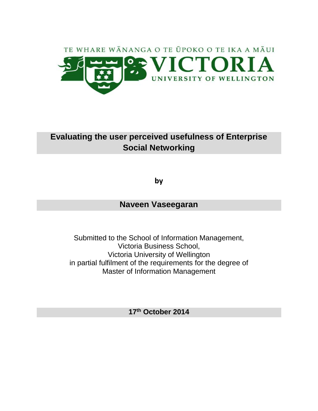

# **Evaluating the user perceived usefulness of Enterprise Social Networking**

**by**

# **Naveen Vaseegaran**

Submitted to the School of Information Management, Victoria Business School, Victoria University of Wellington in partial fulfilment of the requirements for the degree of Master of Information Management

**17th October 2014**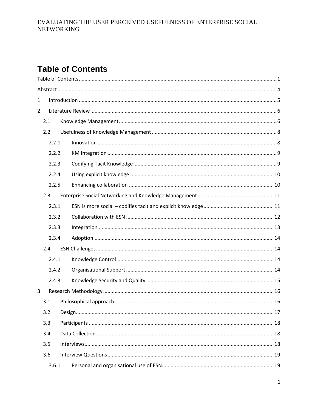# <span id="page-1-0"></span>**Table of Contents**

| 1                        |       |  |  |  |
|--------------------------|-------|--|--|--|
| $\overline{2}$           |       |  |  |  |
|                          | 2.1   |  |  |  |
|                          | 2.2   |  |  |  |
|                          | 2.2.1 |  |  |  |
|                          | 2.2.2 |  |  |  |
|                          | 2.2.3 |  |  |  |
|                          | 2.2.4 |  |  |  |
|                          | 2.2.5 |  |  |  |
|                          | 2.3   |  |  |  |
|                          | 2.3.1 |  |  |  |
|                          | 2.3.2 |  |  |  |
|                          | 2.3.3 |  |  |  |
|                          | 2.3.4 |  |  |  |
|                          | 2.4   |  |  |  |
|                          | 2.4.1 |  |  |  |
|                          | 2.4.2 |  |  |  |
|                          | 2.4.3 |  |  |  |
| 3                        |       |  |  |  |
|                          | 3.1   |  |  |  |
| 3.2<br>3.3<br>3.4<br>3.5 |       |  |  |  |
|                          |       |  |  |  |
|                          |       |  |  |  |
|                          |       |  |  |  |
|                          | 3.6   |  |  |  |
|                          | 3.6.1 |  |  |  |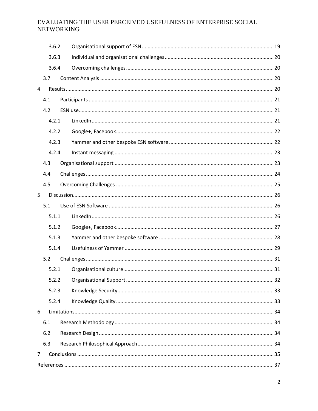| 3.6.2 |       |  |  |
|-------|-------|--|--|
| 3.6.3 |       |  |  |
|       | 3.6.4 |  |  |
|       | 3.7   |  |  |
| 4     |       |  |  |
|       | 4.1   |  |  |
|       | 4.2   |  |  |
|       | 4.2.1 |  |  |
|       | 4.2.2 |  |  |
|       | 4.2.3 |  |  |
|       | 4.2.4 |  |  |
|       | 4.3   |  |  |
|       | 4.4   |  |  |
|       | 4.5   |  |  |
| 5     |       |  |  |
|       | 5.1   |  |  |
|       | 5.1.1 |  |  |
|       | 5.1.2 |  |  |
|       | 5.1.3 |  |  |
|       | 5.1.4 |  |  |
|       | 5.2   |  |  |
|       | 5.2.1 |  |  |
|       | 5.2.2 |  |  |
|       | 5.2.3 |  |  |
|       | 5.2.4 |  |  |
| 6     |       |  |  |
|       | 6.1   |  |  |
|       | 6.2   |  |  |
|       | 6.3   |  |  |
| 7     |       |  |  |
|       |       |  |  |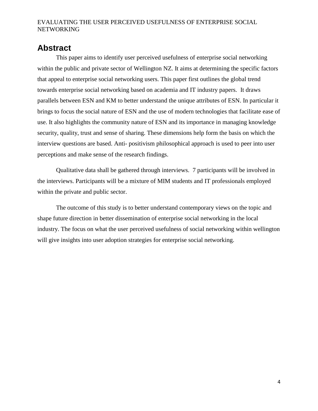# <span id="page-4-0"></span>**Abstract**

This paper aims to identify user perceived usefulness of enterprise social networking within the public and private sector of Wellington NZ. It aims at determining the specific factors that appeal to enterprise social networking users. This paper first outlines the global trend towards enterprise social networking based on academia and IT industry papers. It draws parallels between ESN and KM to better understand the unique attributes of ESN. In particular it brings to focus the social nature of ESN and the use of modern technologies that facilitate ease of use. It also highlights the community nature of ESN and its importance in managing knowledge security, quality, trust and sense of sharing. These dimensions help form the basis on which the interview questions are based. Anti- positivism philosophical approach is used to peer into user perceptions and make sense of the research findings.

Qualitative data shall be gathered through interviews. 7 participants will be involved in the interviews. Participants will be a mixture of MIM students and IT professionals employed within the private and public sector.

The outcome of this study is to better understand contemporary views on the topic and shape future direction in better dissemination of enterprise social networking in the local industry. The focus on what the user perceived usefulness of social networking within wellington will give insights into user adoption strategies for enterprise social networking.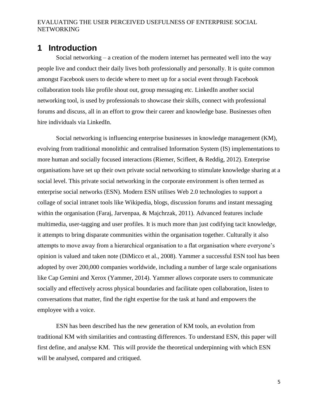# <span id="page-5-0"></span>**1 Introduction**

Social networking – a creation of the modern internet has permeated well into the way people live and conduct their daily lives both professionally and personally. It is quite common amongst Facebook users to decide where to meet up for a social event through Facebook collaboration tools like profile shout out, group messaging etc. LinkedIn another social networking tool, is used by professionals to showcase their skills, connect with professional forums and discuss, all in an effort to grow their career and knowledge base. Businesses often hire individuals via LinkedIn.

Social networking is influencing enterprise businesses in knowledge management (KM), evolving from traditional monolithic and centralised Information System (IS) implementations to more human and socially focused interactions (Riemer, Scifleet, & Reddig, 2012). Enterprise organisations have set up their own private social networking to stimulate knowledge sharing at a social level. This private social networking in the corporate environment is often termed as enterprise social networks (ESN). Modern ESN utilises Web 2.0 technologies to support a collage of social intranet tools like Wikipedia, blogs, discussion forums and instant messaging within the organisation (Faraj, Jarvenpaa, & Majchrzak, 2011). Advanced features include multimedia, user-tagging and user profiles. It is much more than just codifying tacit knowledge, it attempts to bring disparate communities within the organisation together. Culturally it also attempts to move away from a hierarchical organisation to a flat organisation where everyone's opinion is valued and taken note (DiMicco et al., 2008). Yammer a successful ESN tool has been adopted by over 200,000 companies worldwide, including a number of large scale organisations like Cap Gemini and Xerox (Yammer, 2014). Yammer allows corporate users to communicate socially and effectively across physical boundaries and facilitate open collaboration, listen to conversations that matter, find the right expertise for the task at hand and empowers the employee with a voice.

ESN has been described has the new generation of KM tools, an evolution from traditional KM with similarities and contrasting differences. To understand ESN, this paper will first define, and analyse KM. This will provide the theoretical underpinning with which ESN will be analysed, compared and critiqued.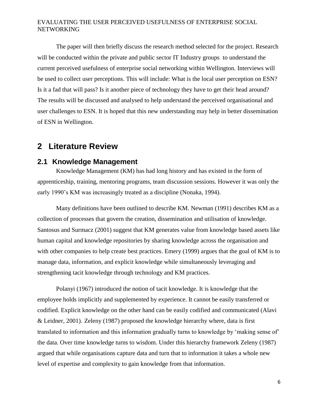The paper will then briefly discuss the research method selected for the project. Research will be conducted within the private and public sector IT Industry groups to understand the current perceived usefulness of enterprise social networking within Wellington. Interviews will be used to collect user perceptions. This will include: What is the local user perception on ESN? Is it a fad that will pass? Is it another piece of technology they have to get their head around? The results will be discussed and analysed to help understand the perceived organisational and user challenges to ESN. It is hoped that this new understanding may help in better dissemination of ESN in Wellington.

## <span id="page-6-0"></span>**2 Literature Review**

## <span id="page-6-1"></span>**2.1 Knowledge Management**

Knowledge Management (KM) has had long history and has existed in the form of apprenticeship, training, mentoring programs, team discussion sessions. However it was only the early 1990's KM was increasingly treated as a discipline (Nonaka, 1994).

Many definitions have been outlined to describe KM. Newman (1991) describes KM as a collection of processes that govern the creation, dissemination and utilisation of knowledge. Santosus and Surmacz (2001) suggest that KM generates value from knowledge based assets like human capital and knowledge repositories by sharing knowledge across the organisation and with other companies to help create best practices. Emery (1999) argues that the goal of KM is to manage data, information, and explicit knowledge while simultaneously leveraging and strengthening tacit knowledge through technology and KM practices.

Polanyi (1967) introduced the notion of tacit knowledge. It is knowledge that the employee holds implicitly and supplemented by experience. It cannot be easily transferred or codified. Explicit knowledge on the other hand can be easily codified and communicated (Alavi & Leidner, 2001). Zeleny (1987) proposed the knowledge hierarchy where, data is first translated to information and this information gradually turns to knowledge by 'making sense of' the data. Over time knowledge turns to wisdom. Under this hierarchy framework Zeleny (1987) argued that while organisations capture data and turn that to information it takes a whole new level of expertise and complexity to gain knowledge from that information.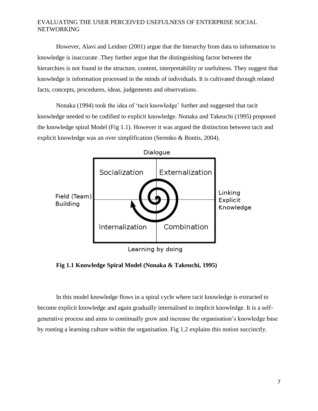However, Alavi and Leidner (2001) argue that the hierarchy from data to information to knowledge is inaccurate .They further argue that the distinguishing factor between the hierarchies is not found in the structure, content, interpretability or usefulness. They suggest that knowledge is information processed in the minds of individuals. It is cultivated through related facts, concepts, procedures, ideas, judgements and observations.

Nonaka (1994) took the idea of 'tacit knowledge' further and suggested that tacit knowledge needed to be codified to explicit knowledge. Nonaka and Takeuchi (1995) proposed the knowledge spiral Model (Fig 1.1). However it was argued the distinction between tacit and explicit knowledge was an over simplification (Serenko & Bontis, 2004).



**Fig 1.1 Knowledge Spiral Model (Nonaka & Takeuchi, 1995)**

In this model knowledge flows in a spiral cycle where tacit knowledge is extracted to become explicit knowledge and again gradually internalised to implicit knowledge. It is a selfgenerative process and aims to continually grow and increase the organisation's knowledge base by rooting a learning culture within the organisation. Fig 1.2 explains this notion succinctly.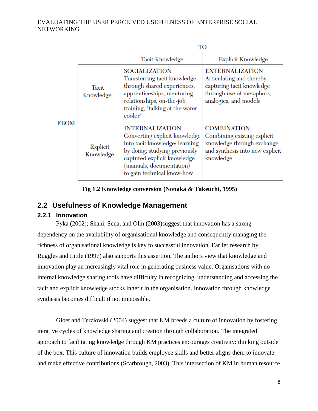|             |                           | TO                                                                                                                                                                                                                  |                                                                                                                                       |  |
|-------------|---------------------------|---------------------------------------------------------------------------------------------------------------------------------------------------------------------------------------------------------------------|---------------------------------------------------------------------------------------------------------------------------------------|--|
|             |                           | Tacit Knowledge                                                                                                                                                                                                     | <b>Explicit Knowledge</b>                                                                                                             |  |
|             | <b>Tacit</b><br>Knowledge | <b>SOCIALIZATION</b><br>Transferring tacit knowledge<br>through shared experiences,<br>apprenticeships, mentoring<br>relationships, on-the-job<br>training, "talking at the water<br>cooler"                        | <b>EXTERNALIZATION</b><br>Articulating and thereby<br>capturing tacit knowledge<br>through use of metaphors,<br>analogies, and models |  |
| <b>FROM</b> | Explicit<br>Knowledge     | <b>INTERNALIZATION</b><br>Converting explicit knowledge<br>into tacit knowledge; learning<br>by doing; studying previously<br>captured explicit knowledge<br>(manuals, documentation)<br>to gain technical know-how | <b>COMBINATION</b><br>Combining existing explicit<br>knowledge through exchange<br>and synthesis into new explicit<br>knowledge       |  |

**Fig 1.2 Knowledge conversion (Nonaka & Takeuchi, 1995)**

## <span id="page-8-0"></span>**2.2 Usefulness of Knowledge Management**

## <span id="page-8-1"></span>**2.2.1 Innovation**

Pyka (2002); Shani, Sena, and Olin (2003)suggest that innovation has a strong dependency on the availability of organisational knowledge and consequently managing the richness of organisational knowledge is key to successful innovation. Earlier research by Ruggles and Little (1997) also supports this assertion. The authors view that knowledge and innovation play an increasingly vital role in generating business value. Organisations with no internal knowledge sharing tools have difficulty in recognizing, understanding and accessing the tacit and explicit knowledge stocks inherit in the organisation. Innovation through knowledge synthesis becomes difficult if not impossible.

Gloet and Terziovski (2004) suggest that KM breeds a culture of innovation by fostering iterative cycles of knowledge sharing and creation through collaboration. The integrated approach to facilitating knowledge through KM practices encourages creativity: thinking outside of the box. This culture of innovation builds employee skills and better aligns them to innovate and make effective contributions (Scarbrough, 2003). This intersection of KM in human resource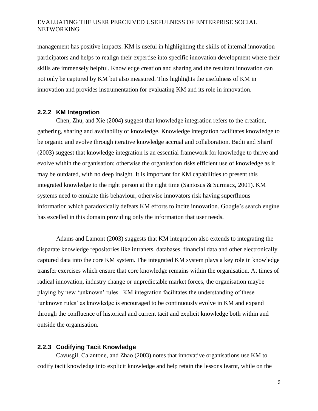management has positive impacts. KM is useful in highlighting the skills of internal innovation participators and helps to realign their expertise into specific innovation development where their skills are immensely helpful. Knowledge creation and sharing and the resultant innovation can not only be captured by KM but also measured. This highlights the usefulness of KM in innovation and provides instrumentation for evaluating KM and its role in innovation.

#### <span id="page-9-0"></span>**2.2.2 KM Integration**

Chen, Zhu, and Xie (2004) suggest that knowledge integration refers to the creation, gathering, sharing and availability of knowledge. Knowledge integration facilitates knowledge to be organic and evolve through iterative knowledge accrual and collaboration. Badii and Sharif (2003) suggest that knowledge integration is an essential framework for knowledge to thrive and evolve within the organisation; otherwise the organisation risks efficient use of knowledge as it may be outdated, with no deep insight. It is important for KM capabilities to present this integrated knowledge to the right person at the right time (Santosus & Surmacz, 2001). KM systems need to emulate this behaviour, otherwise innovators risk having superfluous information which paradoxically defeats KM efforts to incite innovation. Google's search engine has excelled in this domain providing only the information that user needs.

Adams and Lamont (2003) suggests that KM integration also extends to integrating the disparate knowledge repositories like intranets, databases, financial data and other electronically captured data into the core KM system. The integrated KM system plays a key role in knowledge transfer exercises which ensure that core knowledge remains within the organisation. At times of radical innovation, industry change or unpredictable market forces, the organisation maybe playing by new 'unknown' rules. KM integration facilitates the understanding of these 'unknown rules' as knowledge is encouraged to be continuously evolve in KM and expand through the confluence of historical and current tacit and explicit knowledge both within and outside the organisation.

#### <span id="page-9-1"></span>**2.2.3 Codifying Tacit Knowledge**

Cavusgil, Calantone, and Zhao (2003) notes that innovative organisations use KM to codify tacit knowledge into explicit knowledge and help retain the lessons learnt, while on the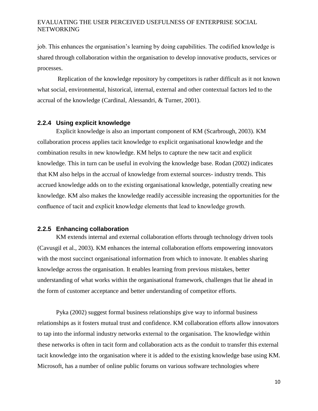job. This enhances the organisation's learning by doing capabilities. The codified knowledge is shared through collaboration within the organisation to develop innovative products, services or processes.

Replication of the knowledge repository by competitors is rather difficult as it not known what social, environmental, historical, internal, external and other contextual factors led to the accrual of the knowledge (Cardinal, Alessandri, & Turner, 2001).

#### <span id="page-10-0"></span>**2.2.4 Using explicit knowledge**

Explicit knowledge is also an important component of KM (Scarbrough, 2003). KM collaboration process applies tacit knowledge to explicit organisational knowledge and the combination results in new knowledge. KM helps to capture the new tacit and explicit knowledge. This in turn can be useful in evolving the knowledge base. Rodan (2002) indicates that KM also helps in the accrual of knowledge from external sources- industry trends. This accrued knowledge adds on to the existing organisational knowledge, potentially creating new knowledge. KM also makes the knowledge readily accessible increasing the opportunities for the confluence of tacit and explicit knowledge elements that lead to knowledge growth.

#### <span id="page-10-1"></span>**2.2.5 Enhancing collaboration**

KM extends internal and external collaboration efforts through technology driven tools (Cavusgil et al., 2003). KM enhances the internal collaboration efforts empowering innovators with the most succinct organisational information from which to innovate. It enables sharing knowledge across the organisation. It enables learning from previous mistakes, better understanding of what works within the organisational framework, challenges that lie ahead in the form of customer acceptance and better understanding of competitor efforts.

Pyka (2002) suggest formal business relationships give way to informal business relationships as it fosters mutual trust and confidence. KM collaboration efforts allow innovators to tap into the informal industry networks external to the organisation. The knowledge within these networks is often in tacit form and collaboration acts as the conduit to transfer this external tacit knowledge into the organisation where it is added to the existing knowledge base using KM. Microsoft, has a number of online public forums on various software technologies where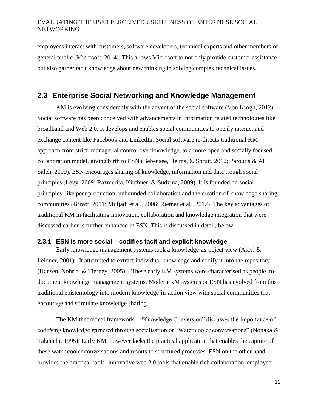employees interact with customers, software developers, technical experts and other members of general public (Microsoft, 2014). This allows Microsoft to not only provide customer assistance but also garner tacit knowledge about new thinking in solving complex technical issues.

## <span id="page-11-0"></span>**2.3 Enterprise Social Networking and Knowledge Management**

KM is evolving considerably with the advent of the social software (Von Krogh, 2012). Social software has been conceived with advancements in information related technologies like broadband and Web 2.0. It develops and enables social communities to openly interact and exchange content like Facebook and LinkedIn. Social software re-directs traditional KM approach from strict managerial control over knowledge, to a more open and socially focused collaboration model, giving birth to ESN (Bebensee, Helms, & Spruit, 2012; Paroutis & Al Saleh, 2009). ESN encourages sharing of knowledge, information and data trough social principles (Levy, 2009; Razmerita, Kirchner, & Sudzina, 2009). It is founded on social principles, like peer production, unbounded collaboration and the creation of knowledge sharing communities (Brivot, 2011; Muljadi et al., 2006; Riemer et al., 2012). The key advantages of traditional KM in facilitating innovation, collaboration and knowledge integration that were discussed earlier is further enhanced in ESN. This is discussed in detail, below.

#### <span id="page-11-1"></span>**2.3.1 ESN is more social – codifies tacit and explicit knowledge**

Early knowledge management systems took a knowledge-as-object view (Alavi & Leidner, 2001). It attempted to extract individual knowledge and codify it into the repository (Hansen, Nohria, & Tierney, 2005). These early KM systems were characterised as people–todocument knowledge management systems. Modern KM systems or ESN has evolved from this traditional epistemology into modern knowledge-in-action view with social communities that encourage and stimulate knowledge sharing.

The KM theoretical framework – "Knowledge Conversion" discusses the importance of codifying knowledge garnered through socialisation or "Water cooler conversations" (Nonaka & Takeuchi, 1995). Early KM, however lacks the practical application that enables the capture of these water cooler conversations and resorts to structured processes. ESN on the other hand provides the practical tools -innovative web 2.0 tools that enable rich collaboration, employee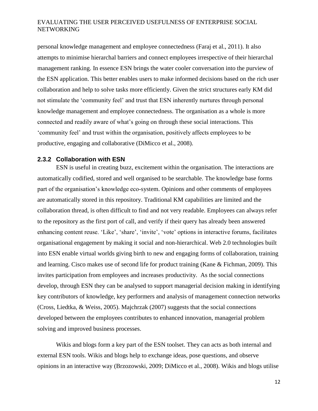personal knowledge management and employee connectedness (Faraj et al., 2011). It also attempts to minimise hierarchal barriers and connect employees irrespective of their hierarchal management ranking. In essence ESN brings the water cooler conversation into the purview of the ESN application. This better enables users to make informed decisions based on the rich user collaboration and help to solve tasks more efficiently. Given the strict structures early KM did not stimulate the 'community feel' and trust that ESN inherently nurtures through personal knowledge management and employee connectedness. The organisation as a whole is more connected and readily aware of what's going on through these social interactions. This 'community feel' and trust within the organisation, positively affects employees to be productive, engaging and collaborative (DiMicco et al., 2008).

#### <span id="page-12-0"></span>**2.3.2 Collaboration with ESN**

ESN is useful in creating buzz, excitement within the organisation. The interactions are automatically codified, stored and well organised to be searchable. The knowledge base forms part of the organisation's knowledge eco-system. Opinions and other comments of employees are automatically stored in this repository. Traditional KM capabilities are limited and the collaboration thread, is often difficult to find and not very readable. Employees can always refer to the repository as the first port of call, and verify if their query has already been answered enhancing content reuse. 'Like', 'share', 'invite', 'vote' options in interactive forums, facilitates organisational engagement by making it social and non-hierarchical. Web 2.0 technologies built into ESN enable virtual worlds giving birth to new and engaging forms of collaboration, training and learning. Cisco makes use of second life for product training (Kane & Fichman, 2009). This invites participation from employees and increases productivity. As the social connections develop, through ESN they can be analysed to support managerial decision making in identifying key contributors of knowledge, key performers and analysis of management connection networks (Cross, Liedtka, & Weiss, 2005). Majchrzak (2007) suggests that the social connections developed between the employees contributes to enhanced innovation, managerial problem solving and improved business processes.

Wikis and blogs form a key part of the ESN toolset. They can acts as both internal and external ESN tools. Wikis and blogs help to exchange ideas, pose questions, and observe opinions in an interactive way (Brzozowski, 2009; DiMicco et al., 2008). Wikis and blogs utilise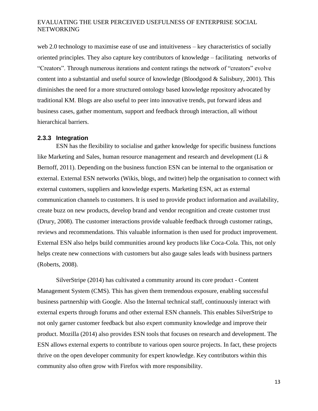web 2.0 technology to maximise ease of use and intuitiveness – key characteristics of socially oriented principles. They also capture key contributors of knowledge – facilitating networks of "Creators". Through numerous iterations and content ratings the network of "creators" evolve content into a substantial and useful source of knowledge (Bloodgood & Salisbury, 2001). This diminishes the need for a more structured ontology based knowledge repository advocated by traditional KM. Blogs are also useful to peer into innovative trends, put forward ideas and business cases, gather momentum, support and feedback through interaction, all without hierarchical barriers.

#### <span id="page-13-0"></span>**2.3.3 Integration**

ESN has the flexibility to socialise and gather knowledge for specific business functions like Marketing and Sales, human resource management and research and development (Li & Bernoff, 2011). Depending on the business function ESN can be internal to the organisation or external. External ESN networks (Wikis, blogs, and twitter) help the organisation to connect with external customers, suppliers and knowledge experts. Marketing ESN, act as external communication channels to customers. It is used to provide product information and availability, create buzz on new products, develop brand and vendor recognition and create customer trust (Drury, 2008). The customer interactions provide valuable feedback through customer ratings, reviews and recommendations. This valuable information is then used for product improvement. External ESN also helps build communities around key products like Coca-Cola. This, not only helps create new connections with customers but also gauge sales leads with business partners (Roberts, 2008).

SilverStripe (2014) has cultivated a community around its core product - Content Management System (CMS). This has given them tremendous exposure, enabling successful business partnership with Google. Also the Internal technical staff, continuously interact with external experts through forums and other external ESN channels. This enables SilverStripe to not only garner customer feedback but also expert community knowledge and improve their product. Mozilla (2014) also provides ESN tools that focuses on research and development. The ESN allows external experts to contribute to various open source projects. In fact, these projects thrive on the open developer community for expert knowledge. Key contributors within this community also often grow with Firefox with more responsibility.

13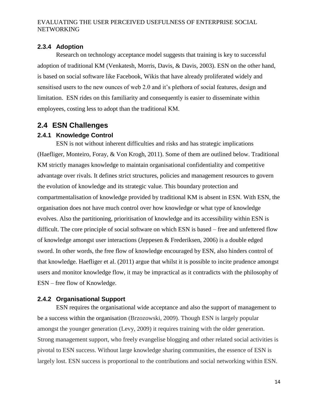## <span id="page-14-0"></span>**2.3.4 Adoption**

Research on technology acceptance model suggests that training is key to successful adoption of traditional KM (Venkatesh, Morris, Davis, & Davis, 2003). ESN on the other hand, is based on social software like Facebook, Wikis that have already proliferated widely and sensitised users to the new ounces of web 2.0 and it's plethora of social features, design and limitation. ESN rides on this familiarity and consequently is easier to disseminate within employees, costing less to adopt than the traditional KM.

## <span id="page-14-1"></span>**2.4 ESN Challenges**

## <span id="page-14-2"></span>**2.4.1 Knowledge Control**

ESN is not without inherent difficulties and risks and has strategic implications (Haefliger, Monteiro, Foray, & Von Krogh, 2011). Some of them are outlined below. Traditional KM strictly manages knowledge to maintain organisational confidentiality and competitive advantage over rivals. It defines strict structures, policies and management resources to govern the evolution of knowledge and its strategic value. This boundary protection and compartmentalisation of knowledge provided by traditional KM is absent in ESN. With ESN, the organisation does not have much control over how knowledge or what type of knowledge evolves. Also the partitioning, prioritisation of knowledge and its accessibility within ESN is difficult. The core principle of social software on which ESN is based – free and unfettered flow of knowledge amongst user interactions (Jeppesen & Frederiksen, 2006) is a double edged sword. In other words, the free flow of knowledge encouraged by ESN, also hinders control of that knowledge. Haefliger et al. (2011) argue that whilst it is possible to incite prudence amongst users and monitor knowledge flow, it may be impractical as it contradicts with the philosophy of ESN – free flow of Knowledge.

## <span id="page-14-3"></span>**2.4.2 Organisational Support**

ESN requires the organisational wide acceptance and also the support of management to be a success within the organisation (Brzozowski, 2009). Though ESN is largely popular amongst the younger generation (Levy, 2009) it requires training with the older generation. Strong management support, who freely evangelise blogging and other related social activities is pivotal to ESN success. Without large knowledge sharing communities, the essence of ESN is largely lost. ESN success is proportional to the contributions and social networking within ESN.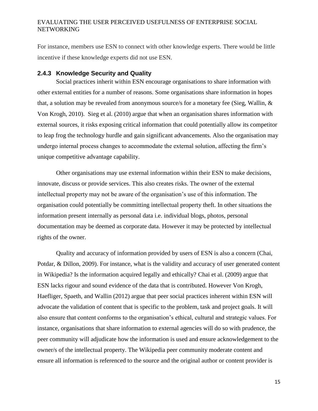For instance, members use ESN to connect with other knowledge experts. There would be little incentive if these knowledge experts did not use ESN.

#### <span id="page-15-0"></span>**2.4.3 Knowledge Security and Quality**

Social practices inherit within ESN encourage organisations to share information with other external entities for a number of reasons. Some organisations share information in hopes that, a solution may be revealed from anonymous source/s for a monetary fee (Sieg, Wallin, & Von Krogh, 2010). Sieg et al. (2010) argue that when an organisation shares information with external sources, it risks exposing critical information that could potentially allow its competitor to leap frog the technology hurdle and gain significant advancements. Also the organisation may undergo internal process changes to accommodate the external solution, affecting the firm's unique competitive advantage capability.

Other organisations may use external information within their ESN to make decisions, innovate, discuss or provide services. This also creates risks. The owner of the external intellectual property may not be aware of the organisation's use of this information. The organisation could potentially be committing intellectual property theft. In other situations the information present internally as personal data i.e. individual blogs, photos, personal documentation may be deemed as corporate data. However it may be protected by intellectual rights of the owner.

Quality and accuracy of information provided by users of ESN is also a concern (Chai, Potdar, & Dillon, 2009). For instance, what is the validity and accuracy of user generated content in Wikipedia? Is the information acquired legally and ethically? Chai et al. (2009) argue that ESN lacks rigour and sound evidence of the data that is contributed. However Von Krogh, Haefliger, Spaeth, and Wallin (2012) argue that peer social practices inherent within ESN will advocate the validation of content that is specific to the problem, task and project goals. It will also ensure that content conforms to the organisation's ethical, cultural and strategic values. For instance, organisations that share information to external agencies will do so with prudence, the peer community will adjudicate how the information is used and ensure acknowledgement to the owner/s of the intellectual property. The Wikipedia peer community moderate content and ensure all information is referenced to the source and the original author or content provider is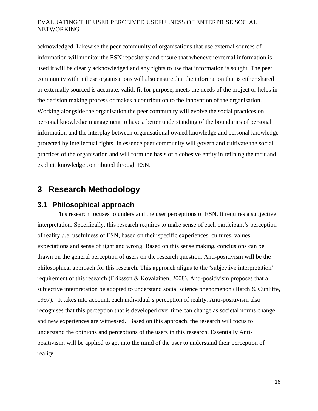acknowledged. Likewise the peer community of organisations that use external sources of information will monitor the ESN repository and ensure that whenever external information is used it will be clearly acknowledged and any rights to use that information is sought. The peer community within these organisations will also ensure that the information that is either shared or externally sourced is accurate, valid, fit for purpose, meets the needs of the project or helps in the decision making process or makes a contribution to the innovation of the organisation. Working alongside the organisation the peer community will evolve the social practices on personal knowledge management to have a better understanding of the boundaries of personal information and the interplay between organisational owned knowledge and personal knowledge protected by intellectual rights. In essence peer community will govern and cultivate the social practices of the organisation and will form the basis of a cohesive entity in refining the tacit and explicit knowledge contributed through ESN.

# <span id="page-16-0"></span>**3 Research Methodology**

## <span id="page-16-1"></span>**3.1 Philosophical approach**

This research focuses to understand the user perceptions of ESN. It requires a subjective interpretation. Specifically, this research requires to make sense of each participant's perception of reality .i.e. usefulness of ESN, based on their specific experiences, cultures, values, expectations and sense of right and wrong. Based on this sense making, conclusions can be drawn on the general perception of users on the research question. Anti-positivism will be the philosophical approach for this research. This approach aligns to the 'subjective interpretation' requirement of this research (Eriksson & Kovalainen, 2008). Anti-positivism proposes that a subjective interpretation be adopted to understand social science phenomenon (Hatch & Cunliffe, 1997). It takes into account, each individual's perception of reality. Anti-positivism also recognises that this perception that is developed over time can change as societal norms change, and new experiences are witnessed. Based on this approach, the research will focus to understand the opinions and perceptions of the users in this research. Essentially Antipositivism, will be applied to get into the mind of the user to understand their perception of reality.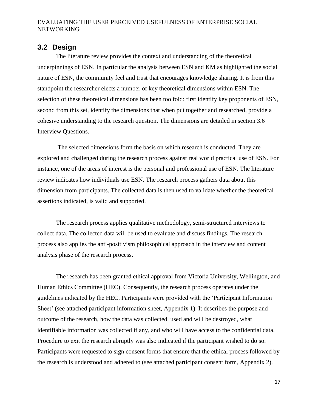## <span id="page-17-0"></span>**3.2 Design**

The literature review provides the context and understanding of the theoretical underpinnings of ESN. In particular the analysis between ESN and KM as highlighted the social nature of ESN, the community feel and trust that encourages knowledge sharing. It is from this standpoint the researcher elects a number of key theoretical dimensions within ESN. The selection of these theoretical dimensions has been too fold: first identify key proponents of ESN, second from this set, identify the dimensions that when put together and researched, provide a cohesive understanding to the research question. The dimensions are detailed in section 3.6 Interview Questions.

The selected dimensions form the basis on which research is conducted. They are explored and challenged during the research process against real world practical use of ESN. For instance, one of the areas of interest is the personal and professional use of ESN. The literature review indicates how individuals use ESN. The research process gathers data about this dimension from participants. The collected data is then used to validate whether the theoretical assertions indicated, is valid and supported.

The research process applies qualitative methodology, semi-structured interviews to collect data. The collected data will be used to evaluate and discuss findings. The research process also applies the anti-positivism philosophical approach in the interview and content analysis phase of the research process.

The research has been granted ethical approval from Victoria University, Wellington, and Human Ethics Committee (HEC). Consequently, the research process operates under the guidelines indicated by the HEC. Participants were provided with the 'Participant Information Sheet' (see attached participant information sheet, Appendix 1). It describes the purpose and outcome of the research, how the data was collected, used and will be destroyed, what identifiable information was collected if any, and who will have access to the confidential data. Procedure to exit the research abruptly was also indicated if the participant wished to do so. Participants were requested to sign consent forms that ensure that the ethical process followed by the research is understood and adhered to (see attached participant consent form, Appendix 2).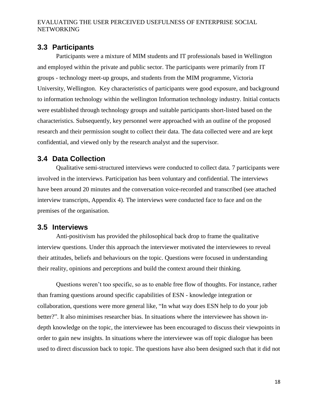## <span id="page-18-0"></span>**3.3 Participants**

Participants were a mixture of MIM students and IT professionals based in Wellington and employed within the private and public sector. The participants were primarily from IT groups - technology meet-up groups, and students from the MIM programme, Victoria University, Wellington. Key characteristics of participants were good exposure, and background to information technology within the wellington Information technology industry. Initial contacts were established through technology groups and suitable participants short-listed based on the characteristics. Subsequently, key personnel were approached with an outline of the proposed research and their permission sought to collect their data. The data collected were and are kept confidential, and viewed only by the research analyst and the supervisor.

## <span id="page-18-1"></span>**3.4 Data Collection**

Qualitative semi-structured interviews were conducted to collect data. 7 participants were involved in the interviews. Participation has been voluntary and confidential. The interviews have been around 20 minutes and the conversation voice-recorded and transcribed (see attached interview transcripts, Appendix 4). The interviews were conducted face to face and on the premises of the organisation.

## <span id="page-18-2"></span>**3.5 Interviews**

Anti-positivism has provided the philosophical back drop to frame the qualitative interview questions. Under this approach the interviewer motivated the interviewees to reveal their attitudes, beliefs and behaviours on the topic. Questions were focused in understanding their reality, opinions and perceptions and build the context around their thinking.

Questions weren't too specific, so as to enable free flow of thoughts. For instance, rather than framing questions around specific capabilities of ESN - knowledge integration or collaboration, questions were more general like, "In what way does ESN help to do your job better?". It also minimises researcher bias. In situations where the interviewee has shown indepth knowledge on the topic, the interviewee has been encouraged to discuss their viewpoints in order to gain new insights. In situations where the interviewee was off topic dialogue has been used to direct discussion back to topic. The questions have also been designed such that it did not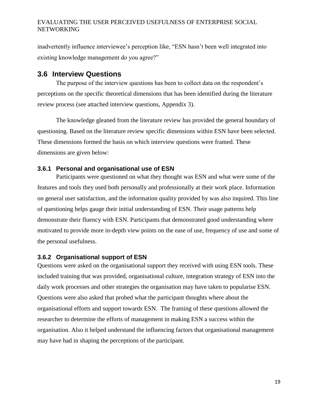inadvertently influence interviewee's perception like, "ESN hasn't been well integrated into existing knowledge management do you agree?"

## <span id="page-19-0"></span>**3.6 Interview Questions**

The purpose of the interview questions has been to collect data on the respondent's perceptions on the specific theoretical dimensions that has been identified during the literature review process (see attached interview questions, Appendix 3).

The knowledge gleaned from the literature review has provided the general boundary of questioning. Based on the literature review specific dimensions within ESN have been selected. These dimensions formed the basis on which interview questions were framed. These dimensions are given below:

## <span id="page-19-1"></span>**3.6.1 Personal and organisational use of ESN**

Participants were questioned on what they thought was ESN and what were some of the features and tools they used both personally and professionally at their work place. Information on general user satisfaction, and the information quality provided by was also inquired. This line of questioning helps gauge their initial understanding of ESN. Their usage patterns help demonstrate their fluency with ESN. Participants that demonstrated good understanding where motivated to provide more in-depth view points on the ease of use, frequency of use and some of the personal usefulness.

## <span id="page-19-2"></span>**3.6.2 Organisational support of ESN**

Questions were asked on the organisational support they received with using ESN tools. These included training that was provided, organisational culture, integration strategy of ESN into the daily work processes and other strategies the organisation may have taken to popularise ESN. Questions were also asked that probed what the participant thoughts where about the organisational efforts and support towards ESN. The framing of these questions allowed the researcher to determine the efforts of management in making ESN a success within the organisation. Also it helped understand the influencing factors that organisational management may have had in shaping the perceptions of the participant.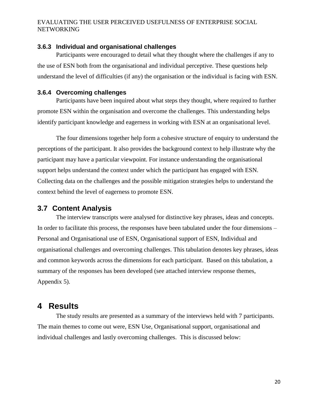#### <span id="page-20-0"></span>**3.6.3 Individual and organisational challenges**

Participants were encouraged to detail what they thought where the challenges if any to the use of ESN both from the organisational and individual perceptive. These questions help understand the level of difficulties (if any) the organisation or the individual is facing with ESN.

#### <span id="page-20-1"></span>**3.6.4 Overcoming challenges**

Participants have been inquired about what steps they thought, where required to further promote ESN within the organisation and overcome the challenges. This understanding helps identify participant knowledge and eagerness in working with ESN at an organisational level.

The four dimensions together help form a cohesive structure of enquiry to understand the perceptions of the participant. It also provides the background context to help illustrate why the participant may have a particular viewpoint. For instance understanding the organisational support helps understand the context under which the participant has engaged with ESN. Collecting data on the challenges and the possible mitigation strategies helps to understand the context behind the level of eagerness to promote ESN.

## <span id="page-20-2"></span>**3.7 Content Analysis**

The interview transcripts were analysed for distinctive key phrases, ideas and concepts. In order to facilitate this process, the responses have been tabulated under the four dimensions – Personal and Organisational use of ESN, Organisational support of ESN, Individual and organisational challenges and overcoming challenges. This tabulation denotes key phrases, ideas and common keywords across the dimensions for each participant. Based on this tabulation, a summary of the responses has been developed (see attached interview response themes, Appendix 5).

## <span id="page-20-3"></span>**4 Results**

The study results are presented as a summary of the interviews held with 7 participants. The main themes to come out were, ESN Use, Organisational support, organisational and individual challenges and lastly overcoming challenges. This is discussed below: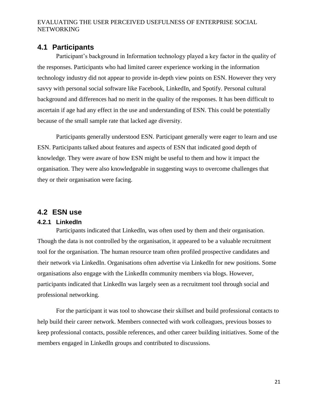## <span id="page-21-0"></span>**4.1 Participants**

Participant's background in Information technology played a key factor in the quality of the responses. Participants who had limited career experience working in the information technology industry did not appear to provide in-depth view points on ESN. However they very savvy with personal social software like Facebook, LinkedIn, and Spotify. Personal cultural background and differences had no merit in the quality of the responses. It has been difficult to ascertain if age had any effect in the use and understanding of ESN. This could be potentially because of the small sample rate that lacked age diversity.

Participants generally understood ESN. Participant generally were eager to learn and use ESN. Participants talked about features and aspects of ESN that indicated good depth of knowledge. They were aware of how ESN might be useful to them and how it impact the organisation. They were also knowledgeable in suggesting ways to overcome challenges that they or their organisation were facing.

## <span id="page-21-1"></span>**4.2 ESN use**

#### <span id="page-21-2"></span>**4.2.1 LinkedIn**

Participants indicated that LinkedIn, was often used by them and their organisation. Though the data is not controlled by the organisation, it appeared to be a valuable recruitment tool for the organisation. The human resource team often profiled prospective candidates and their network via LinkedIn. Organisations often advertise via LinkedIn for new positions. Some organisations also engage with the LinkedIn community members via blogs. However, participants indicated that LinkedIn was largely seen as a recruitment tool through social and professional networking.

For the participant it was tool to showcase their skillset and build professional contacts to help build their career network. Members connected with work colleagues, previous bosses to keep professional contacts, possible references, and other career building initiatives. Some of the members engaged in LinkedIn groups and contributed to discussions.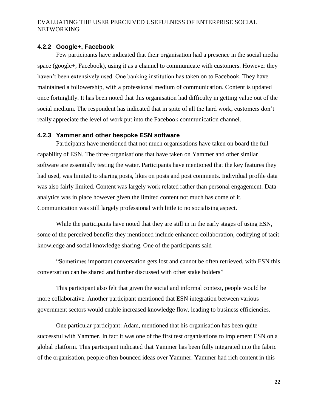#### <span id="page-22-0"></span>**4.2.2 Google+, Facebook**

Few participants have indicated that their organisation had a presence in the social media space (google+, Facebook), using it as a channel to communicate with customers. However they haven't been extensively used. One banking institution has taken on to Facebook. They have maintained a followership, with a professional medium of communication. Content is updated once fortnightly. It has been noted that this organisation had difficulty in getting value out of the social medium. The respondent has indicated that in spite of all the hard work, customers don't really appreciate the level of work put into the Facebook communication channel.

## <span id="page-22-1"></span>**4.2.3 Yammer and other bespoke ESN software**

Participants have mentioned that not much organisations have taken on board the full capability of ESN. The three organisations that have taken on Yammer and other similar software are essentially testing the water. Participants have mentioned that the key features they had used, was limited to sharing posts, likes on posts and post comments. Individual profile data was also fairly limited. Content was largely work related rather than personal engagement. Data analytics was in place however given the limited content not much has come of it. Communication was still largely professional with little to no socialising aspect.

While the participants have noted that they are still in in the early stages of using ESN, some of the perceived benefits they mentioned include enhanced collaboration, codifying of tacit knowledge and social knowledge sharing. One of the participants said

"Sometimes important conversation gets lost and cannot be often retrieved, with ESN this conversation can be shared and further discussed with other stake holders"

This participant also felt that given the social and informal context, people would be more collaborative. Another participant mentioned that ESN integration between various government sectors would enable increased knowledge flow, leading to business efficiencies.

One particular participant: Adam, mentioned that his organisation has been quite successful with Yammer. In fact it was one of the first test organisations to implement ESN on a global platform. This participant indicated that Yammer has been fully integrated into the fabric of the organisation, people often bounced ideas over Yammer. Yammer had rich content in this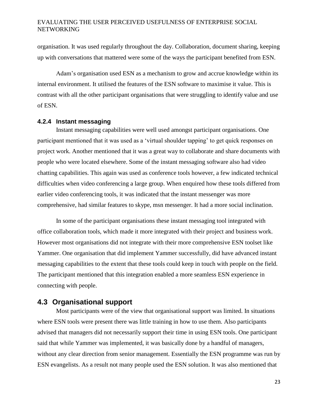organisation. It was used regularly throughout the day. Collaboration, document sharing, keeping up with conversations that mattered were some of the ways the participant benefited from ESN.

Adam's organisation used ESN as a mechanism to grow and accrue knowledge within its internal environment. It utilised the features of the ESN software to maximise it value. This is contrast with all the other participant organisations that were struggling to identify value and use of ESN.

#### <span id="page-23-0"></span>**4.2.4 Instant messaging**

Instant messaging capabilities were well used amongst participant organisations. One participant mentioned that it was used as a 'virtual shoulder tapping' to get quick responses on project work. Another mentioned that it was a great way to collaborate and share documents with people who were located elsewhere. Some of the instant messaging software also had video chatting capabilities. This again was used as conference tools however, a few indicated technical difficulties when video conferencing a large group. When enquired how these tools differed from earlier video conferencing tools, it was indicated that the instant messenger was more comprehensive, had similar features to skype, msn messenger. It had a more social inclination.

In some of the participant organisations these instant messaging tool integrated with office collaboration tools, which made it more integrated with their project and business work. However most organisations did not integrate with their more comprehensive ESN toolset like Yammer. One organisation that did implement Yammer successfully, did have advanced instant messaging capabilities to the extent that these tools could keep in touch with people on the field. The participant mentioned that this integration enabled a more seamless ESN experience in connecting with people.

## <span id="page-23-1"></span>**4.3 Organisational support**

Most participants were of the view that organisational support was limited. In situations where ESN tools were present there was little training in how to use them. Also participants advised that managers did not necessarily support their time in using ESN tools. One participant said that while Yammer was implemented, it was basically done by a handful of managers, without any clear direction from senior management. Essentially the ESN programme was run by ESN evangelists. As a result not many people used the ESN solution. It was also mentioned that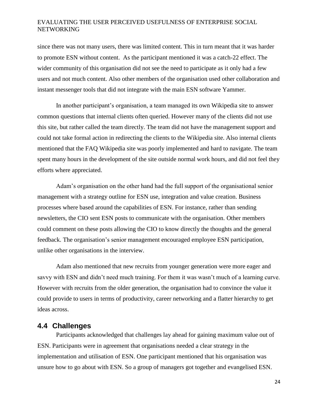since there was not many users, there was limited content. This in turn meant that it was harder to promote ESN without content. As the participant mentioned it was a catch-22 effect. The wider community of this organisation did not see the need to participate as it only had a few users and not much content. Also other members of the organisation used other collaboration and instant messenger tools that did not integrate with the main ESN software Yammer.

In another participant's organisation, a team managed its own Wikipedia site to answer common questions that internal clients often queried. However many of the clients did not use this site, but rather called the team directly. The team did not have the management support and could not take formal action in redirecting the clients to the Wikipedia site. Also internal clients mentioned that the FAQ Wikipedia site was poorly implemented and hard to navigate. The team spent many hours in the development of the site outside normal work hours, and did not feel they efforts where appreciated.

Adam's organisation on the other hand had the full support of the organisational senior management with a strategy outline for ESN use, integration and value creation. Business processes where based around the capabilities of ESN. For instance, rather than sending newsletters, the CIO sent ESN posts to communicate with the organisation. Other members could comment on these posts allowing the CIO to know directly the thoughts and the general feedback. The organisation's senior management encouraged employee ESN participation, unlike other organisations in the interview.

Adam also mentioned that new recruits from younger generation were more eager and savvy with ESN and didn't need much training. For them it was wasn't much of a learning curve. However with recruits from the older generation, the organisation had to convince the value it could provide to users in terms of productivity, career networking and a flatter hierarchy to get ideas across.

## <span id="page-24-0"></span>**4.4 Challenges**

Participants acknowledged that challenges lay ahead for gaining maximum value out of ESN. Participants were in agreement that organisations needed a clear strategy in the implementation and utilisation of ESN. One participant mentioned that his organisation was unsure how to go about with ESN. So a group of managers got together and evangelised ESN.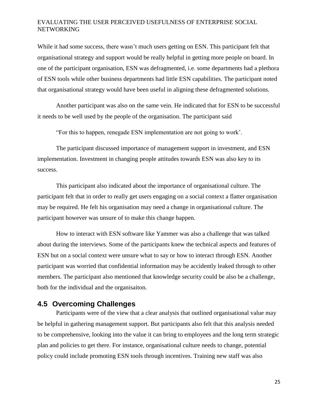While it had some success, there wasn't much users getting on ESN. This participant felt that organisational strategy and support would be really helpful in getting more people on board. In one of the participant organisation, ESN was defragmented, i.e. some departments had a plethora of ESN tools while other business departments had little ESN capabilities. The participant noted that organisational strategy would have been useful in aligning these defragmented solutions.

Another participant was also on the same vein. He indicated that for ESN to be successful it needs to be well used by the people of the organisation. The participant said

"For this to happen, renegade ESN implementation are not going to work'.

The participant discussed importance of management support in investment, and ESN implementation. Investment in changing people attitudes towards ESN was also key to its success.

This participant also indicated about the importance of organisational culture. The participant felt that in order to really get users engaging on a social context a flatter organisation may be required. He felt his organisation may need a change in organisational culture. The participant however was unsure of to make this change happen.

How to interact with ESN software like Yammer was also a challenge that was talked about during the interviews. Some of the participants knew the technical aspects and features of ESN but on a social context were unsure what to say or how to interact through ESN. Another participant was worried that confidential information may be accidently leaked through to other members. The participant also mentioned that knowledge security could be also be a challenge, both for the individual and the organisaiton.

## <span id="page-25-0"></span>**4.5 Overcoming Challenges**

Participants were of the view that a clear analysis that outlined organisational value may be helpful in gathering management support. But participants also felt that this analysis needed to be comprehensive, looking into the value it can bring to employees and the long term strategic plan and policies to get there. For instance, organisational culture needs to change, potential policy could include promoting ESN tools through incentives. Training new staff was also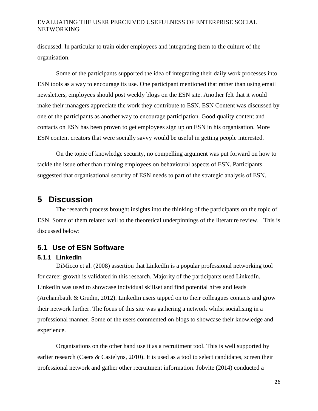discussed. In particular to train older employees and integrating them to the culture of the organisation.

Some of the participants supported the idea of integrating their daily work processes into ESN tools as a way to encourage its use. One participant mentioned that rather than using email newsletters, employees should post weekly blogs on the ESN site. Another felt that it would make their managers appreciate the work they contribute to ESN. ESN Content was discussed by one of the participants as another way to encourage participation. Good quality content and contacts on ESN has been proven to get employees sign up on ESN in his organisation. More ESN content creators that were socially savvy would be useful in getting people interested.

On the topic of knowledge security, no compelling argument was put forward on how to tackle the issue other than training employees on behavioural aspects of ESN. Participants suggested that organisational security of ESN needs to part of the strategic analysis of ESN.

## <span id="page-26-0"></span>**5 Discussion**

The research process brought insights into the thinking of the participants on the topic of ESN. Some of them related well to the theoretical underpinnings of the literature review. . This is discussed below:

## <span id="page-26-1"></span>**5.1 Use of ESN Software**

## <span id="page-26-2"></span>**5.1.1 LinkedIn**

DiMicco et al. (2008) assertion that LinkedIn is a popular professional networking tool for career growth is validated in this research. Majority of the participants used LinkedIn. LinkedIn was used to showcase individual skillset and find potential hires and leads (Archambault & Grudin, 2012). LinkedIn users tapped on to their colleagues contacts and grow their network further. The focus of this site was gathering a network whilst socialising in a professional manner. Some of the users commented on blogs to showcase their knowledge and experience.

Organisations on the other hand use it as a recruitment tool. This is well supported by earlier research (Caers & Castelyns, 2010). It is used as a tool to select candidates, screen their professional network and gather other recruitment information. Jobvite (2014) conducted a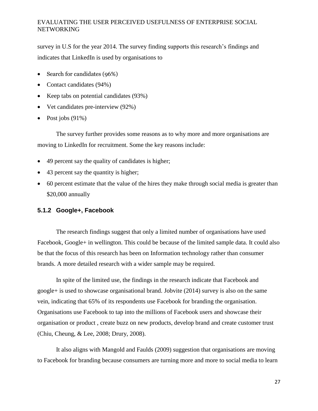survey in U.S for the year 2014. The survey finding supports this research's findings and indicates that LinkedIn is used by organisations to

- Search for candidates (96%)
- Contact candidates (94%)
- Keep tabs on potential candidates (93%)
- Vet candidates pre-interview (92%)
- Post jobs  $(91\%)$

The survey further provides some reasons as to why more and more organisations are moving to LinkedIn for recruitment. Some the key reasons include:

- 49 percent say the quality of candidates is higher;
- 43 percent say the quantity is higher;
- 60 percent estimate that the value of the hires they make through social media is greater than \$20,000 annually

#### <span id="page-27-0"></span>**5.1.2 Google+, Facebook**

The research findings suggest that only a limited number of organisations have used Facebook, Google+ in wellington. This could be because of the limited sample data. It could also be that the focus of this research has been on Information technology rather than consumer brands. A more detailed research with a wider sample may be required.

In spite of the limited use, the findings in the research indicate that Facebook and google+ is used to showcase organisational brand. Jobvite (2014) survey is also on the same vein, indicating that 65% of its respondents use Facebook for branding the organisation. Organisations use Facebook to tap into the millions of Facebook users and showcase their organisation or product , create buzz on new products, develop brand and create customer trust (Chiu, Cheung, & Lee, 2008; Drury, 2008).

It also aligns with Mangold and Faulds (2009) suggestion that organisations are moving to Facebook for branding because consumers are turning more and more to social media to learn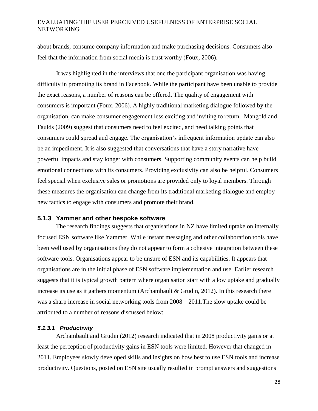about brands, consume company information and make purchasing decisions. Consumers also feel that the information from social media is trust worthy (Foux, 2006).

It was highlighted in the interviews that one the participant organisation was having difficulty in promoting its brand in Facebook. While the participant have been unable to provide the exact reasons, a number of reasons can be offered. The quality of engagement with consumers is important (Foux, 2006). A highly traditional marketing dialogue followed by the organisation, can make consumer engagement less exciting and inviting to return. Mangold and Faulds (2009) suggest that consumers need to feel excited, and need talking points that consumers could spread and engage. The organisation's infrequent information update can also be an impediment. It is also suggested that conversations that have a story narrative have powerful impacts and stay longer with consumers. Supporting community events can help build emotional connections with its consumers. Providing exclusivity can also be helpful. Consumers feel special when exclusive sales or promotions are provided only to loyal members. Through these measures the organisation can change from its traditional marketing dialogue and employ new tactics to engage with consumers and promote their brand.

#### <span id="page-28-0"></span>**5.1.3 Yammer and other bespoke software**

The research findings suggests that organisations in NZ have limited uptake on internally focused ESN software like Yammer. While instant messaging and other collaboration tools have been well used by organisations they do not appear to form a cohesive integration between these software tools. Organisations appear to be unsure of ESN and its capabilities. It appears that organisations are in the initial phase of ESN software implementation and use. Earlier research suggests that it is typical growth pattern where organisation start with a low uptake and gradually increase its use as it gathers momentum (Archambault & Grudin, 2012). In this research there was a sharp increase in social networking tools from 2008 – 2011.The slow uptake could be attributed to a number of reasons discussed below:

#### *5.1.3.1 Productivity*

Archambault and Grudin (2012) research indicated that in 2008 productivity gains or at least the perception of productivity gains in ESN tools were limited. However that changed in 2011. Employees slowly developed skills and insights on how best to use ESN tools and increase productivity. Questions, posted on ESN site usually resulted in prompt answers and suggestions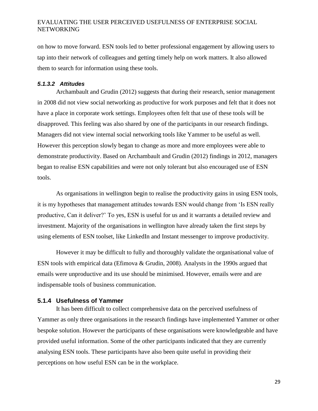on how to move forward. ESN tools led to better professional engagement by allowing users to tap into their network of colleagues and getting timely help on work matters. It also allowed them to search for information using these tools.

#### *5.1.3.2 Attitudes*

Archambault and Grudin (2012) suggests that during their research, senior management in 2008 did not view social networking as productive for work purposes and felt that it does not have a place in corporate work settings. Employees often felt that use of these tools will be disapproved. This feeling was also shared by one of the participants in our research findings. Managers did not view internal social networking tools like Yammer to be useful as well. However this perception slowly began to change as more and more employees were able to demonstrate productivity. Based on Archambault and Grudin (2012) findings in 2012, managers began to realise ESN capabilities and were not only tolerant but also encouraged use of ESN tools.

As organisations in wellington begin to realise the productivity gains in using ESN tools, it is my hypotheses that management attitudes towards ESN would change from 'Is ESN really productive, Can it deliver?' To yes, ESN is useful for us and it warrants a detailed review and investment. Majority of the organisations in wellington have already taken the first steps by using elements of ESN toolset, like LinkedIn and Instant messenger to improve productivity.

However it may be difficult to fully and thoroughly validate the organisational value of ESN tools with empirical data (Efimova & Grudin, 2008). Analysts in the 1990s argued that emails were unproductive and its use should be minimised. However, emails were and are indispensable tools of business communication.

#### <span id="page-29-0"></span>**5.1.4 Usefulness of Yammer**

It has been difficult to collect comprehensive data on the perceived usefulness of Yammer as only three organisations in the research findings have implemented Yammer or other bespoke solution. However the participants of these organisations were knowledgeable and have provided useful information. Some of the other participants indicated that they are currently analysing ESN tools. These participants have also been quite useful in providing their perceptions on how useful ESN can be in the workplace.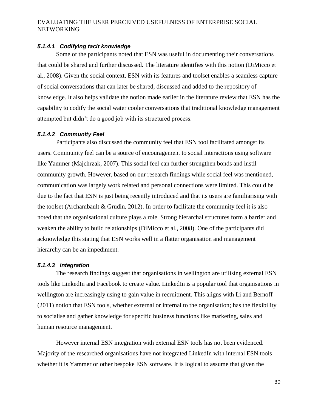#### *5.1.4.1 Codifying tacit knowledge*

Some of the participants noted that ESN was useful in documenting their conversations that could be shared and further discussed. The literature identifies with this notion (DiMicco et al., 2008). Given the social context, ESN with its features and toolset enables a seamless capture of social conversations that can later be shared, discussed and added to the repository of knowledge. It also helps validate the notion made earlier in the literature review that ESN has the capability to codify the social water cooler conversations that traditional knowledge management attempted but didn't do a good job with its structured process.

#### *5.1.4.2 Community Feel*

Participants also discussed the community feel that ESN tool facilitated amongst its users. Community feel can be a source of encouragement to social interactions using software like Yammer (Majchrzak, 2007). This social feel can further strengthen bonds and instil community growth. However, based on our research findings while social feel was mentioned, communication was largely work related and personal connections were limited. This could be due to the fact that ESN is just being recently introduced and that its users are familiarising with the toolset (Archambault  $&$  Grudin, 2012). In order to facilitate the community feel it is also noted that the organisational culture plays a role. Strong hierarchal structures form a barrier and weaken the ability to build relationships (DiMicco et al., 2008). One of the participants did acknowledge this stating that ESN works well in a flatter organisation and management hierarchy can be an impediment.

#### *5.1.4.3 Integration*

The research findings suggest that organisations in wellington are utilising external ESN tools like LinkedIn and Facebook to create value. LinkedIn is a popular tool that organisations in wellington are increasingly using to gain value in recruitment. This aligns with Li and Bernoff (2011) notion that ESN tools, whether external or internal to the organisation; has the flexibility to socialise and gather knowledge for specific business functions like marketing, sales and human resource management.

However internal ESN integration with external ESN tools has not been evidenced. Majority of the researched organisations have not integrated LinkedIn with internal ESN tools whether it is Yammer or other bespoke ESN software. It is logical to assume that given the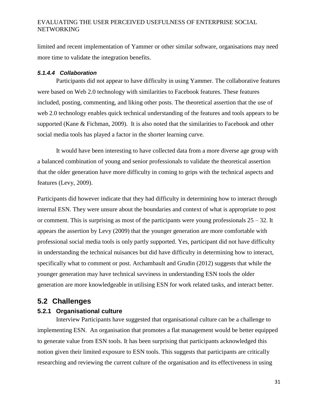limited and recent implementation of Yammer or other similar software, organisations may need more time to validate the integration benefits.

#### *5.1.4.4 Collaboration*

Participants did not appear to have difficulty in using Yammer. The collaborative features were based on Web 2.0 technology with similarities to Facebook features. These features included, posting, commenting, and liking other posts. The theoretical assertion that the use of web 2.0 technology enables quick technical understanding of the features and tools appears to be supported (Kane & Fichman, 2009). It is also noted that the similarities to Facebook and other social media tools has played a factor in the shorter learning curve.

It would have been interesting to have collected data from a more diverse age group with a balanced combination of young and senior professionals to validate the theoretical assertion that the older generation have more difficulty in coming to grips with the technical aspects and features (Levy, 2009).

Participants did however indicate that they had difficulty in determining how to interact through internal ESN. They were unsure about the boundaries and context of what is appropriate to post or comment. This is surprising as most of the participants were young professionals  $25 - 32$ . It appears the assertion by Levy (2009) that the younger generation are more comfortable with professional social media tools is only partly supported. Yes, participant did not have difficulty in understanding the technical nuisances but did have difficulty in determining how to interact, specifically what to comment or post. Archambault and Grudin (2012) suggests that while the younger generation may have technical savviness in understanding ESN tools the older generation are more knowledgeable in utilising ESN for work related tasks, and interact better.

## <span id="page-31-0"></span>**5.2 Challenges**

## <span id="page-31-1"></span>**5.2.1 Organisational culture**

Interview Participants have suggested that organisational culture can be a challenge to implementing ESN. An organisation that promotes a flat management would be better equipped to generate value from ESN tools. It has been surprising that participants acknowledged this notion given their limited exposure to ESN tools. This suggests that participants are critically researching and reviewing the current culture of the organisation and its effectiveness in using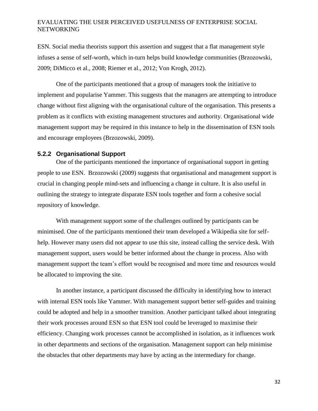ESN. Social media theorists support this assertion and suggest that a flat management style infuses a sense of self-worth, which in-turn helps build knowledge communities (Brzozowski, 2009; DiMicco et al., 2008; Riemer et al., 2012; Von Krogh, 2012).

One of the participants mentioned that a group of managers took the initiative to implement and popularise Yammer. This suggests that the managers are attempting to introduce change without first aligning with the organisational culture of the organisation. This presents a problem as it conflicts with existing management structures and authority. Organisational wide management support may be required in this instance to help in the dissemination of ESN tools and encourage employees (Brzozowski, 2009).

#### <span id="page-32-0"></span>**5.2.2 Organisational Support**

One of the participants mentioned the importance of organisational support in getting people to use ESN. Brzozowski (2009) suggests that organisational and management support is crucial in changing people mind-sets and influencing a change in culture. It is also useful in outlining the strategy to integrate disparate ESN tools together and form a cohesive social repository of knowledge.

With management support some of the challenges outlined by participants can be minimised. One of the participants mentioned their team developed a Wikipedia site for selfhelp. However many users did not appear to use this site, instead calling the service desk. With management support, users would be better informed about the change in process. Also with management support the team's effort would be recognised and more time and resources would be allocated to improving the site.

In another instance, a participant discussed the difficulty in identifying how to interact with internal ESN tools like Yammer. With management support better self-guides and training could be adopted and help in a smoother transition. Another participant talked about integrating their work processes around ESN so that ESN tool could be leveraged to maximise their efficiency. Changing work processes cannot be accomplished in isolation, as it influences work in other departments and sections of the organisation. Management support can help minimise the obstacles that other departments may have by acting as the intermediary for change.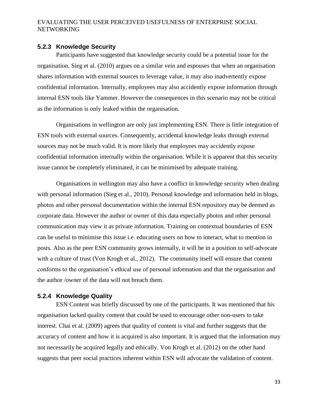#### <span id="page-33-0"></span>**5.2.3 Knowledge Security**

Participants have suggested that knowledge security could be a potential issue for the organisation. Sieg et al. (2010) argues on a similar vein and espouses that when an organisation shares information with external sources to leverage value, it may also inadvertently expose confidential information. Internally, employees may also accidently expose information through internal ESN tools like Yammer. However the consequences in this scenario may not be critical as the information is only leaked within the organisation.

Organisations in wellington are only just implementing ESN. There is little integration of ESN tools with external sources. Consequently, accidental knowledge leaks through external sources may not be much valid. It is more likely that employees may accidently expose confidential information internally within the organisation. While it is apparent that this security issue cannot be completely eliminated, it can be minimised by adequate training.

Organisations in wellington may also have a conflict in knowledge security when dealing with personal information (Sieg et al., 2010). Personal knowledge and information held in blogs, photos and other personal documentation within the internal ESN repository may be deemed as corporate data. However the author or owner of this data especially photos and other personal communication may view it as private information. Training on contextual boundaries of ESN can be useful to minimise this issue i.e. educating users on how to interact, what to mention in posts. Also as the peer ESN community grows internally, it will be in a position to self-advocate with a culture of trust (Von Krogh et al., 2012). The community itself will ensure that content conforms to the organisation's ethical use of personal information and that the organisation and the author /owner of the data will not breach them.

#### <span id="page-33-1"></span>**5.2.4 Knowledge Quality**

ESN Content was briefly discussed by one of the participants. It was mentioned that his organisation lacked quality content that could be used to encourage other non-users to take interest. Chai et al. (2009) agrees that quality of content is vital and further suggests that the accuracy of content and how it is acquired is also important. It is argued that the information may not necessarily be acquired legally and ethically. Von Krogh et al. (2012) on the other hand suggests that peer social practices inherent within ESN will advocate the validation of content.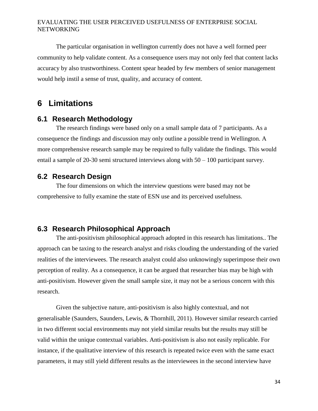The particular organisation in wellington currently does not have a well formed peer community to help validate content. As a consequence users may not only feel that content lacks accuracy by also trustworthiness. Content spear headed by few members of senior management would help instil a sense of trust, quality, and accuracy of content.

# <span id="page-34-0"></span>**6 Limitations**

## <span id="page-34-1"></span>**6.1 Research Methodology**

The research findings were based only on a small sample data of 7 participants. As a consequence the findings and discussion may only outline a possible trend in Wellington. A more comprehensive research sample may be required to fully validate the findings. This would entail a sample of 20-30 semi structured interviews along with 50 – 100 participant survey.

## <span id="page-34-2"></span>**6.2 Research Design**

The four dimensions on which the interview questions were based may not be comprehensive to fully examine the state of ESN use and its perceived usefulness.

## <span id="page-34-3"></span>**6.3 Research Philosophical Approach**

The anti-positivism philosophical approach adopted in this research has limitations.. The approach can be taxing to the research analyst and risks clouding the understanding of the varied realities of the interviewees. The research analyst could also unknowingly superimpose their own perception of reality. As a consequence, it can be argued that researcher bias may be high with anti-positivism. However given the small sample size, it may not be a serious concern with this research.

Given the subjective nature, anti-positivism is also highly contextual, and not generalisable (Saunders, Saunders, Lewis, & Thornhill, 2011). However similar research carried in two different social environments may not yield similar results but the results may still be valid within the unique contextual variables. Anti-positivism is also not easily replicable. For instance, if the qualitative interview of this research is repeated twice even with the same exact parameters, it may still yield different results as the interviewees in the second interview have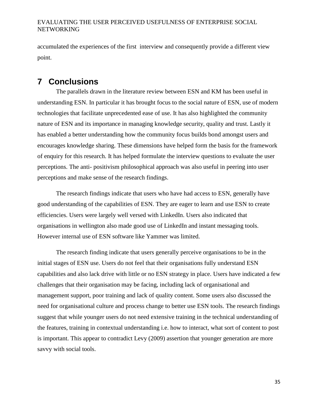accumulated the experiences of the first interview and consequently provide a different view point.

# <span id="page-35-0"></span>**7 Conclusions**

The parallels drawn in the literature review between ESN and KM has been useful in understanding ESN. In particular it has brought focus to the social nature of ESN, use of modern technologies that facilitate unprecedented ease of use. It has also highlighted the community nature of ESN and its importance in managing knowledge security, quality and trust. Lastly it has enabled a better understanding how the community focus builds bond amongst users and encourages knowledge sharing. These dimensions have helped form the basis for the framework of enquiry for this research. It has helped formulate the interview questions to evaluate the user perceptions. The anti- positivism philosophical approach was also useful in peering into user perceptions and make sense of the research findings.

The research findings indicate that users who have had access to ESN, generally have good understanding of the capabilities of ESN. They are eager to learn and use ESN to create efficiencies. Users were largely well versed with LinkedIn. Users also indicated that organisations in wellington also made good use of LinkedIn and instant messaging tools. However internal use of ESN software like Yammer was limited.

The research finding indicate that users generally perceive organisations to be in the initial stages of ESN use. Users do not feel that their organisations fully understand ESN capabilities and also lack drive with little or no ESN strategy in place. Users have indicated a few challenges that their organisation may be facing, including lack of organisational and management support, poor training and lack of quality content. Some users also discussed the need for organisational culture and process change to better use ESN tools. The research findings suggest that while younger users do not need extensive training in the technical understanding of the features, training in contextual understanding i.e. how to interact, what sort of content to post is important. This appear to contradict Levy (2009) assertion that younger generation are more savvy with social tools.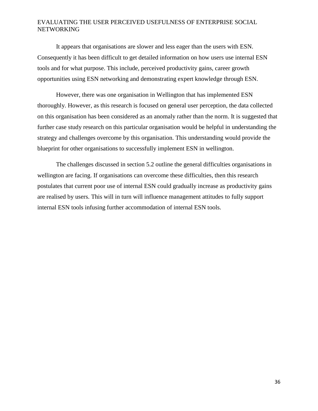It appears that organisations are slower and less eager than the users with ESN. Consequently it has been difficult to get detailed information on how users use internal ESN tools and for what purpose. This include, perceived productivity gains, career growth opportunities using ESN networking and demonstrating expert knowledge through ESN.

However, there was one organisation in Wellington that has implemented ESN thoroughly. However, as this research is focused on general user perception, the data collected on this organisation has been considered as an anomaly rather than the norm. It is suggested that further case study research on this particular organisation would be helpful in understanding the strategy and challenges overcome by this organisation. This understanding would provide the blueprint for other organisations to successfully implement ESN in wellington.

The challenges discussed in section 5.2 outline the general difficulties organisations in wellington are facing. If organisations can overcome these difficulties, then this research postulates that current poor use of internal ESN could gradually increase as productivity gains are realised by users. This will in turn will influence management attitudes to fully support internal ESN tools infusing further accommodation of internal ESN tools.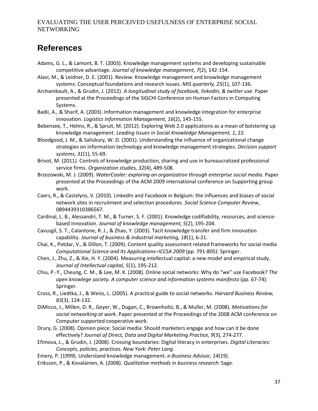# <span id="page-37-0"></span>**References**

- Adams, G. L., & Lamont, B. T. (2003). Knowledge management systems and developing sustainable competitive advantage. *Journal of knowledge management, 7*(2), 142-154.
- Alavi, M., & Leidner, D. E. (2001). Review: Knowledge management and knowledge management systems: Conceptual foundations and research issues. *MIS quarterly, 25*(1), 107-136.
- Archambault, A., & Grudin, J. (2012). *A longitudinal study of facebook, linkedin, & twitter use.* Paper presented at the Proceedings of the SIGCHI Conference on Human Factors in Computing Systems.
- Badii, A., & Sharif, A. (2003). Information management and knowledge integration for enterprise innovation. *Logistics Information Management, 16*(2), 145-155.
- Bebensee, T., Helms, R., & Spruit, M. (2012). Exploring Web 2.0 applications as a mean of bolstering up knowledge management. *Leading Issues in Social Knowledge Management, 1*, 22.
- Bloodgood, J. M., & Salisbury, W. D. (2001). Understanding the influence of organizational change strategies on information technology and knowledge management strategies. *Decision support systems, 31*(1), 55-69.
- Brivot, M. (2011). Controls of knowledge production, sharing and use in bureaucratized professional service firms. *Organization studies, 32*(4), 489-508.
- Brzozowski, M. J. (2009). *WaterCooler: exploring an organization through enterprise social media.* Paper presented at the Proceedings of the ACM 2009 international conference on Supporting group work.
- Caers, R., & Castelyns, V. (2010). LinkedIn and Facebook in Belgium: the influences and biases of social network sites in recruitment and selection procedures. *Social Science Computer Review*, 0894439310386567.
- Cardinal, L. B., Alessandri, T. M., & Turner, S. F. (2001). Knowledge codifiability, resources, and sciencebased innovation. *Journal of knowledge management, 5*(2), 195-204.
- Cavusgil, S. T., Calantone, R. J., & Zhao, Y. (2003). Tacit knowledge transfer and firm innovation capability. *Journal of business & industrial marketing, 18*(1), 6-21.
- Chai, K., Potdar, V., & Dillon, T. (2009). Content quality assessment related frameworks for social media *Computational Science and Its Applications–ICCSA 2009* (pp. 791-805): Springer.
- Chen, J., Zhu, Z., & Xie, H. Y. (2004). Measuring intellectual capital: a new model and empirical study. *Journal of Intellectual capital, 5*(1), 195-212.
- Chiu, P.-Y., Cheung, C. M., & Lee, M. K. (2008). Online social networks: Why do "we" use Facebook? *The open knowlege society. A computer science and information systems manifesto* (pp. 67-74): Springer.
- Cross, R., Liedtka, J., & Weiss, L. (2005). A practical guide to social networks. *Harvard Business Review, 83*(3), 124-132.
- DiMicco, J., Millen, D. R., Geyer, W., Dugan, C., Brownholtz, B., & Muller, M. (2008). *Motivations for social networking at work.* Paper presented at the Proceedings of the 2008 ACM conference on Computer supported cooperative work.
- Drury, G. (2008). Opinion piece: Social media: Should marketers engage and how can it be done effectively? *Journal of Direct, Data and Digital Marketing Practice, 9*(3), 274-277.
- Efimova, L., & Grudin, J. (2008). Crossing boundaries: Digital literacy in enterprises. *Digital Literacies: Concepts, policies, practices. New York: Peter Lang*.
- Emery, P. (1999). Understand knowledge management. *e-Business Advisor, 14*(19).
- Eriksson, P., & Kovalainen, A. (2008). *Qualitative methods in business research*: Sage.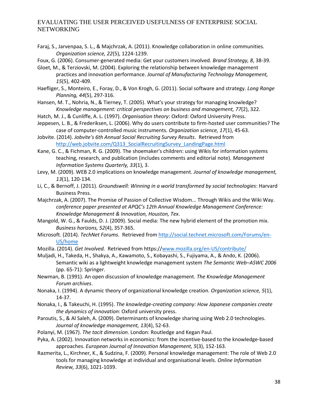- Faraj, S., Jarvenpaa, S. L., & Majchrzak, A. (2011). Knowledge collaboration in online communities. *Organization science, 22*(5), 1224-1239.
- Foux, G. (2006). Consumer-generated media: Get your customers involved. *Brand Strategy, 8*, 38-39.
- Gloet, M., & Terziovski, M. (2004). Exploring the relationship between knowledge management practices and innovation performance. *Journal of Manufacturing Technology Management, 15*(5), 402-409.
- Haefliger, S., Monteiro, E., Foray, D., & Von Krogh, G. (2011). Social software and strategy. *Long Range Planning, 44*(5), 297-316.
- Hansen, M. T., Nohria, N., & Tierney, T. (2005). What's your strategy for managing knowledge? *Knowledge management: critical perspectives on business and management, 77*(2), 322.
- Hatch, M. J., & Cunliffe, A. L. (1997). *Organisation theory*: Oxford: Oxford University Press.
- Jeppesen, L. B., & Frederiksen, L. (2006). Why do users contribute to firm-hosted user communities? The case of computer-controlled music instruments. *Organization science, 17*(1), 45-63.
- Jobvite. (2014). *Jobvite's 6th Annual Social Recruiting Survey Results*. Retrieved from [http://web.jobvite.com/Q313\\_SocialRecruitingSurvey\\_LandingPage.html](http://web.jobvite.com/Q313_SocialRecruitingSurvey_LandingPage.html)
- Kane, G. C., & Fichman, R. G. (2009). The shoemaker's children: using Wikis for information systems teaching, research, and publication (includes comments and editorial note). *Management Information Systems Quarterly, 33*(1), 3.
- Levy, M. (2009). WEB 2.0 implications on knowledge management. *Journal of knowledge management, 13*(1), 120-134.
- Li, C., & Bernoff, J. (2011). *Groundswell: Winning in a world transformed by social technologies*: Harvard Business Press.
- Majchrzak, A. (2007). The Promise of Passion of Collective Wisdom... Through Wikis and the Wiki Way. *conference paper presented at APQC's 12th Annual Knowledge Management Conference: Knowledge Management & Innovation, Houston, Tex*.
- Mangold, W. G., & Faulds, D. J. (2009). Social media: The new hybrid element of the promotion mix. *Business horizons, 52*(4), 357-365.
- Microsoft. (2014). *TechNet Forums.* Retrieved from [http://social.technet.microsoft.com/Forums/en-](http://social.technet.microsoft.com/Forums/en-US/home)[US/home](http://social.technet.microsoft.com/Forums/en-US/home)
- Mozilla. (2014). *Get Involved.* Retrieved from https:/[/www.mozilla.org/en-US/contribute/](http://www.mozilla.org/en-US/contribute/)
- Muljadi, H., Takeda, H., Shakya, A., Kawamoto, S., Kobayashi, S., Fujiyama, A., & Ando, K. (2006). Semantic wiki as a lightweight knowledge management system *The Semantic Web–ASWC 2006* (pp. 65-71): Springer.
- Newman, B. (1991). An open discussion of knowledge management. *The Knowledge Management Forum archives*.
- Nonaka, I. (1994). A dynamic theory of organizational knowledge creation. *Organization science, 5*(1), 14-37.
- Nonaka, I., & Takeuchi, H. (1995). *The knowledge-creating company: How Japanese companies create the dynamics of innovation*: Oxford university press.
- Paroutis, S., & Al Saleh, A. (2009). Determinants of knowledge sharing using Web 2.0 technologies. *Journal of knowledge management, 13*(4), 52-63.
- Polanyi, M. (1967). *The tacit dimension*. London: Routledge and Kegan Paul.
- Pyka, A. (2002). Innovation networks in economics: from the incentive-based to the knowledge-based approaches. *European Journal of Innovation Management, 5*(3), 152-163.
- Razmerita, L., Kirchner, K., & Sudzina, F. (2009). Personal knowledge management: The role of Web 2.0 tools for managing knowledge at individual and organisational levels. *Online Information Review, 33*(6), 1021-1039.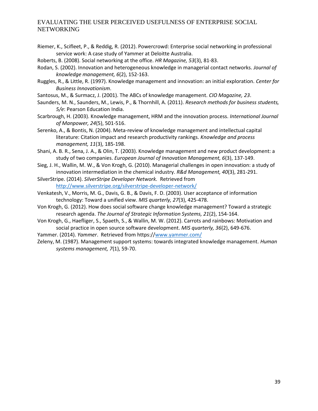- Riemer, K., Scifleet, P., & Reddig, R. (2012). Powercrowd: Enterprise social networking in professional service work: A case study of Yammer at Deloitte Australia.
- Roberts, B. (2008). Social networking at the office. *HR Magazine, 53*(3), 81-83.
- Rodan, S. (2002). Innovation and heterogeneous knowledge in managerial contact networks. *Journal of knowledge management, 6*(2), 152-163.
- Ruggles, R., & Little, R. (1997). Knowledge management and innovation: an initial exploration. *Center for Business Innovationism*.
- Santosus, M., & Surmacz, J. (2001). The ABCs of knowledge management. *CIO Magazine, 23*.
- Saunders, M. N., Saunders, M., Lewis, P., & Thornhill, A. (2011). *Research methods for business students, 5/e*: Pearson Education India.
- Scarbrough, H. (2003). Knowledge management, HRM and the innovation process. *International Journal of Manpower, 24*(5), 501-516.
- Serenko, A., & Bontis, N. (2004). Meta‐review of knowledge management and intellectual capital literature: Citation impact and research productivity rankings. *Knowledge and process management, 11*(3), 185-198.
- Shani, A. B. R., Sena, J. A., & Olin, T. (2003). Knowledge management and new product development: a study of two companies. *European Journal of Innovation Management, 6*(3), 137-149.
- Sieg, J. H., Wallin, M. W., & Von Krogh, G. (2010). Managerial challenges in open innovation: a study of innovation intermediation in the chemical industry. *R&d Management, 40*(3), 281-291.
- SilverStripe. (2014). *SilverStripe Developer Network.* Retrieved from <http://www.silverstripe.org/silverstripe-developer-network/>
- Venkatesh, V., Morris, M. G., Davis, G. B., & Davis, F. D. (2003). User acceptance of information technology: Toward a unified view. *MIS quarterly, 27*(3), 425-478.
- Von Krogh, G. (2012). How does social software change knowledge management? Toward a strategic research agenda. *The Journal of Strategic Information Systems, 21*(2), 154-164.
- Von Krogh, G., Haefliger, S., Spaeth, S., & Wallin, M. W. (2012). Carrots and rainbows: Motivation and social practice in open source software development. *MIS quarterly, 36*(2), 649-676.
- Yammer. (2014). *Yammer*. Retrieved from https:/[/www.yammer.com/](http://www.yammer.com/)
- Zeleny, M. (1987). Management support systems: towards integrated knowledge management. *Human systems management, 7*(1), 59-70.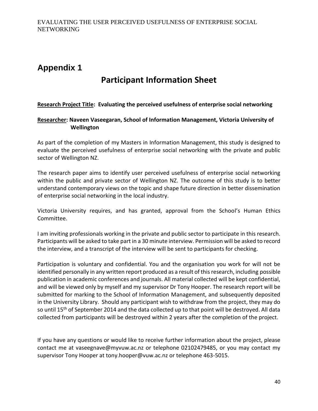# <span id="page-40-0"></span>**Appendix 1**

# **Participant Information Sheet**

## **Research Project Title: Evaluating the perceived usefulness of enterprise social networking**

#### **Researcher: Naveen Vaseegaran, School of Information Management, Victoria University of Wellington**

As part of the completion of my Masters in Information Management, this study is designed to evaluate the perceived usefulness of enterprise social networking with the private and public sector of Wellington NZ.

The research paper aims to identify user perceived usefulness of enterprise social networking within the public and private sector of Wellington NZ. The outcome of this study is to better understand contemporary views on the topic and shape future direction in better dissemination of enterprise social networking in the local industry.

Victoria University requires, and has granted, approval from the School's Human Ethics Committee.

I am inviting professionals working in the private and public sector to participate in this research. Participants will be asked to take part in a 30 minute interview. Permission will be asked to record the interview, and a transcript of the interview will be sent to participants for checking.

Participation is voluntary and confidential. You and the organisation you work for will not be identified personally in any written report produced as a result of this research, including possible publication in academic conferences and journals. All material collected will be kept confidential, and will be viewed only by myself and my supervisor Dr Tony Hooper. The research report will be submitted for marking to the School of Information Management, and subsequently deposited in the University Library. Should any participant wish to withdraw from the project, they may do so until 15<sup>th</sup> of September 2014 and the data collected up to that point will be destroyed. All data collected from participants will be destroyed within 2 years after the completion of the project.

If you have any questions or would like to receive further information about the project, please contact me at vaseegnave@myvuw.ac.nz or telephone 02102479485, or you may contact my supervisor Tony Hooper at tony.hooper@vuw.ac.nz or telephone 463-5015.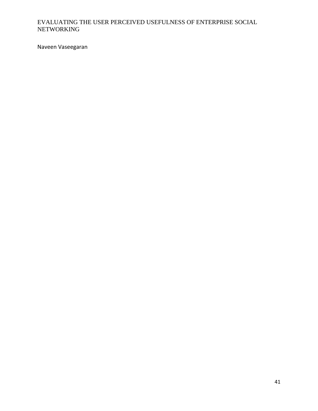Naveen Vaseegaran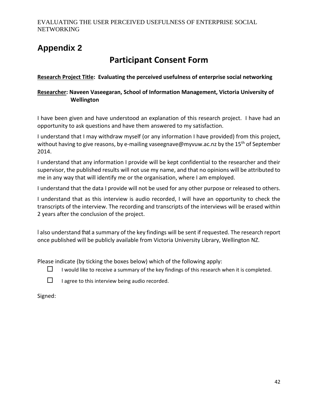# <span id="page-42-0"></span>**Appendix 2**

# **Participant Consent Form**

**Research Project Title: Evaluating the perceived usefulness of enterprise social networking**

## **Researcher: Naveen Vaseegaran, School of Information Management, Victoria University of Wellington**

I have been given and have understood an explanation of this research project. I have had an opportunity to ask questions and have them answered to my satisfaction.

I understand that I may withdraw myself (or any information I have provided) from this project, without having to give reasons, by e-mailing vaseegnave@myvuw.ac.nz by the 15<sup>th</sup> of September 2014.

I understand that any information I provide will be kept confidential to the researcher and their supervisor, the published results will not use my name, and that no opinions will be attributed to me in any way that will identify me or the organisation, where I am employed.

I understand that the data I provide will not be used for any other purpose or released to others.

I understand that as this interview is audio recorded, I will have an opportunity to check the transcripts of the interview. The recording and transcripts of the interviews will be erased within 2 years after the conclusion of the project.

I also understand that a summary of the key findings will be sent if requested. The research report once published will be publicly available from Victoria University Library, Wellington NZ.

Please indicate (by ticking the boxes below) which of the following apply:





 $\Box$  I agree to this interview being audio recorded.

Signed: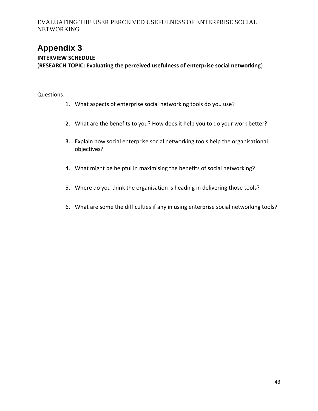# <span id="page-43-0"></span>**Appendix 3**

## **INTERVIEW SCHEDULE**

(**RESEARCH TOPIC: Evaluating the perceived usefulness of enterprise social networking**)

### Questions:

- 1. What aspects of enterprise social networking tools do you use?
- 2. What are the benefits to you? How does it help you to do your work better?
- 3. Explain how social enterprise social networking tools help the organisational objectives?
- 4. What might be helpful in maximising the benefits of social networking?
- 5. Where do you think the organisation is heading in delivering those tools?
- 6. What are some the difficulties if any in using enterprise social networking tools?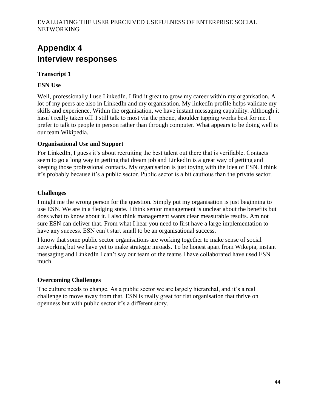# <span id="page-44-0"></span>**Appendix 4 Interview responses**

## **Transcript 1**

## **ESN Use**

Well, professionally I use LinkedIn. I find it great to grow my career within my organisation. A lot of my peers are also in LinkedIn and my organisation. My linkedIn profile helps validate my skills and experience. Within the organisation, we have instant messaging capability. Although it hasn't really taken off. I still talk to most via the phone, shoulder tapping works best for me. I prefer to talk to people in person rather than through computer. What appears to be doing well is our team Wikipedia.

## **Organisational Use and Support**

For LinkedIn, I guess it's about recruiting the best talent out there that is verifiable. Contacts seem to go a long way in getting that dream job and LinkedIn is a great way of getting and keeping those professional contacts. My organisation is just toying with the idea of ESN. I think it's probably because it's a public sector. Public sector is a bit cautious than the private sector.

## **Challenges**

I might me the wrong person for the question. Simply put my organisation is just beginning to use ESN. We are in a fledging state. I think senior management is unclear about the benefits but does what to know about it. I also think management wants clear measurable results. Am not sure ESN can deliver that. From what I hear you need to first have a large implementation to have any success. ESN can't start small to be an organisational success.

I know that some public sector organisations are working together to make sense of social networking but we have yet to make strategic inroads. To be honest apart from Wikepia, instant messaging and LinkedIn I can't say our team or the teams I have collaborated have used ESN much.

## **Overcoming Challenges**

The culture needs to change. As a public sector we are largely hierarchal, and it's a real challenge to move away from that. ESN is really great for flat organisation that thrive on openness but with public sector it's a different story.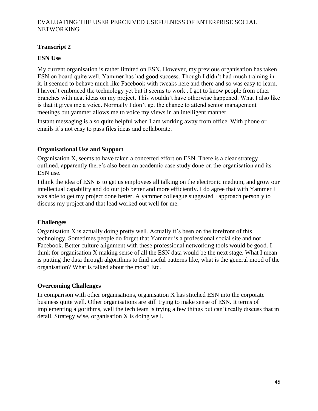## **Transcript 2**

## **ESN Use**

My current organisation is rather limited on ESN. However, my previous organisation has taken ESN on board quite well. Yammer has had good success. Though I didn't had much training in it, it seemed to behave much like Facebook with tweaks here and there and so was easy to learn. I haven't embraced the technology yet but it seems to work . I got to know people from other branches with neat ideas on my project. This wouldn't have otherwise happened. What I also like is that it gives me a voice. Normally I don't get the chance to attend senior management meetings but yammer allows me to voice my views in an intelligent manner.

Instant messaging is also quite helpful when I am working away from office. With phone or emails it's not easy to pass files ideas and collaborate.

## **Organisational Use and Support**

Organisation X, seems to have taken a concerted effort on ESN. There is a clear strategy outlined, apparently there's also been an academic case study done on the organisation and its ESN use.

I think the idea of ESN is to get us employees all talking on the electronic medium, and grow our intellectual capability and do our job better and more efficiently. I do agree that with Yammer I was able to get my project done better. A yammer colleague suggested I approach person y to discuss my project and that lead worked out well for me.

## **Challenges**

Organisation X is actually doing pretty well. Actually it's been on the forefront of this technology. Sometimes people do forget that Yammer is a professional social site and not Facebook. Better culture alignment with these professional networking tools would be good. I think for organisation X making sense of all the ESN data would be the next stage. What I mean is putting the data through algorithms to find useful patterns like, what is the general mood of the organisation? What is talked about the most? Etc.

## **Overcoming Challenges**

In comparison with other organisations, organisation X has stitched ESN into the corporate business quite well. Other organisations are still trying to make sense of ESN. It terms of implementing algorithms, well the tech team is trying a few things but can't really discuss that in detail. Strategy wise, organisation X is doing well.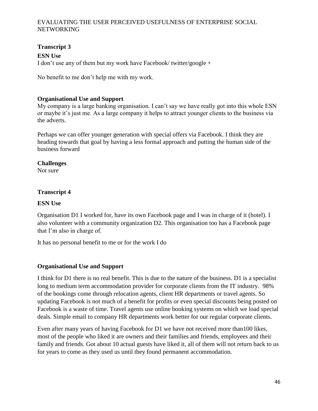## **Transcript 3**

**ESN Use** I don't use any of them but my work have Facebook/ twitter/google +

No benefit to me don't help me with my work.

### **Organisational Use and Support**

My company is a large banking organisation. I can't say we have really got into this whole ESN or maybe it's just me. As a large company it helps to attract younger clients to the business via the adverts.

Perhaps we can offer younger generation with special offers via Facebook. I think they are heading towards that goal by having a less formal approach and putting the human side of the business forward

#### **Challenges**

Not sure

#### **Transcript 4**

#### **ESN Use**

Organisation D1 I worked for, have its own Facebook page and I was in charge of it (hotel). I also volunteer with a community organization D2. This organisation too has a Facebook page that I'm also in charge of.

It has no personal benefit to me or for the work I do

## **Organisational Use and Support**

I think for D1 there is no real benefit. This is due to the nature of the business. D1 is a specialist long to medium term accommodation provider for corporate clients from the IT industry. 98% of the bookings come through relocation agents, client HR departments or travel agents. So updating Facebook is not much of a benefit for profits or even special discounts being posted on Facebook is a waste of time. Travel agents use online booking systems on which we load special deals. Simple email to company HR departments work better for our regular corporate clients.

Even after many years of having Facebook for D1 we have not received more than100 likes, most of the people who liked it are owners and their families and friends, employees and their family and friends. Got about 10 actual guests have liked it, all of them will not return back to us for years to come as they used us until they found permanent accommodation.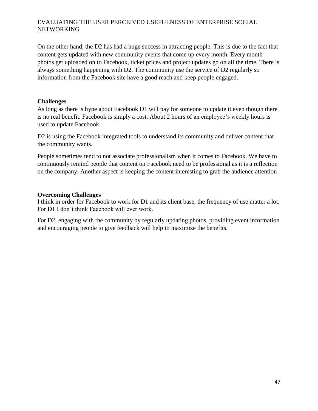On the other hand, the D2 has had a huge success in attracting people. This is due to the fact that content gets updated with new community events that come up every month. Every month photos get uploaded on to Facebook, ticket prices and project updates go on all the time. There is always something happening with D2. The community use the service of D2 regularly so information from the Facebook site have a good reach and keep people engaged.

## **Challenges**

As long as there is hype about Facebook D1 will pay for someone to update it even though there is no real benefit. Facebook is simply a cost. About 2 hours of an employee's weekly hours is used to update Facebook.

D2 is using the Facebook integrated tools to understand its community and deliver content that the community wants.

People sometimes tend to not associate professionalism when it comes to Facebook. We have to continuously remind people that content on Facebook need to be professional as it is a reflection on the company. Another aspect is keeping the content interesting to grab the audience attention

#### **Overcoming Challenges**

I think in order for Facebook to work for D1 and its client base, the frequency of use matter a lot. For D1 I don't think Facebook will ever work.

For D2, engaging with the community by regularly updating photos, providing event information and encouraging people to give feedback will help to maximize the benefits.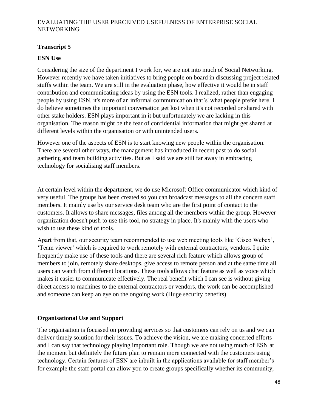## **Transcript 5**

## **ESN Use**

Considering the size of the department I work for, we are not into much of Social Networking. However recently we have taken initiatives to bring people on board in discussing project related stuffs within the team. We are still in the evaluation phase, how effective it would be in staff contribution and communicating ideas by using the ESN tools. I realized, rather than engaging people by using ESN, it's more of an informal communication that's' what people prefer here. I do believe sometimes the important conversation get lost when it's not recorded or shared with other stake holders. ESN plays important in it but unfortunately we are lacking in this organisation. The reason might be the fear of confidential information that might get shared at different levels within the organisation or with unintended users.

However one of the aspects of ESN is to start knowing new people within the organisation. There are several other ways, the management has introduced in recent past to do social gathering and team building activities. But as I said we are still far away in embracing technology for socialising staff members.

At certain level within the department, we do use Microsoft Office communicator which kind of very useful. The groups has been created so you can broadcast messages to all the concern staff members. It mainly use by our service desk team who are the first point of contact to the customers. It allows to share messages, files among all the members within the group. However organization doesn't push to use this tool, no strategy in place. It's mainly with the users who wish to use these kind of tools.

Apart from that, our security team recommended to use web meeting tools like 'Cisco Webex', 'Team viewer' which is required to work remotely with external contractors, vendors. I quite frequently make use of these tools and there are several rich feature which allows group of members to join, remotely share desktops, give access to remote person and at the same time all users can watch from different locations. These tools allows chat feature as well as voice which makes it easier to communicate effectively. The real benefit which I can see is without giving direct access to machines to the external contractors or vendors, the work can be accomplished and someone can keep an eye on the ongoing work (Huge security benefits).

## **Organisational Use and Support**

The organisation is focussed on providing services so that customers can rely on us and we can deliver timely solution for their issues. To achieve the vision, we are making concerted efforts and I can say that technology playing important role. Though we are not using much of ESN at the moment but definitely the future plan to remain more connected with the customers using technology. Certain features of ESN are inbuilt in the applications available for staff member's for example the staff portal can allow you to create groups specifically whether its community,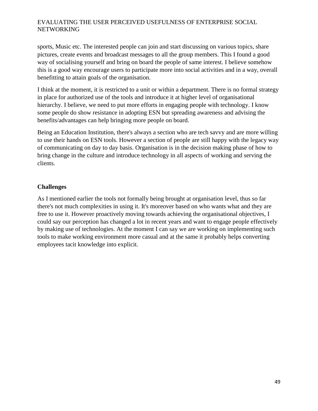sports, Music etc. The interested people can join and start discussing on various topics, share pictures, create events and broadcast messages to all the group members. This I found a good way of socialising yourself and bring on board the people of same interest. I believe somehow this is a good way encourage users to participate more into social activities and in a way, overall benefitting to attain goals of the organisation.

I think at the moment, it is restricted to a unit or within a department. There is no formal strategy in place for authorized use of the tools and introduce it at higher level of organisational hierarchy. I believe, we need to put more efforts in engaging people with technology. I know some people do show resistance in adopting ESN but spreading awareness and advising the benefits/advantages can help bringing more people on board.

Being an Education Institution, there's always a section who are tech savvy and are more willing to use their hands on ESN tools. However a section of people are still happy with the legacy way of communicating on day to day basis. Organisation is in the decision making phase of how to bring change in the culture and introduce technology in all aspects of working and serving the clients.

## **Challenges**

As I mentioned earlier the tools not formally being brought at organisation level, thus so far there's not much complexities in using it. It's moreover based on who wants what and they are free to use it. However proactively moving towards achieving the organisational objectives, I could say our perception has changed a lot in recent years and want to engage people effectively by making use of technologies. At the moment I can say we are working on implementing such tools to make working environment more casual and at the same it probably helps converting employees tacit knowledge into explicit.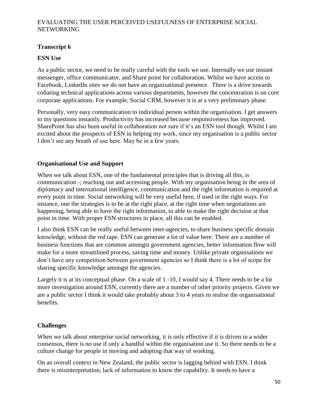## **Transcript 6**

## **ESN Use**

As a public sector, we need to be really careful with the tools we use. Internally we use instant messenger, office communicator, and Share point for collaboration. Whilst we have access to Facebook, LinkedIn sites we do not have an organisational presence. There is a drive towards collating technical applications across various departments, however the concentration is on core corporate applications. For example, Social CRM, however it is at a very preliminary phase.

Personally, very easy communication to individual person within the organisation. I get answers to my questions instantly. Productivity has increased because responsiveness has improved. SharePoint has also been useful in collaboration not sure if it's an ESN tool though. Whilst I am excited about the prospects of ESN in helping my work, since my organisation is a public sector I don't see any breath of use here. May be in a few years.

## **Organisational Use and Support**

When we talk about ESN, one of the fundamental principles that is driving all this, is communication -; reaching out and accessing people. With my organisation being in the area of diplomacy and international intelligence, communication and the right information is required at every point in time. Social networking will be very useful here, if used in the right ways. For instance, one the strategies is to be at the right place, at the right time when negotiations are happening, being able to have the right information, to able to make the right decision at that point in time. With proper ESN structures in place, all this can be enabled.

I also think ESN can be really useful between inter-agencies, to share business specific domain knowledge, without the red tape. ESN can generate a lot of value here. There are a number of business functions that are common amongst government agencies, better information flow will make for a more streamlined process, saving time and money. Unlike private organisations we don't have any competition between government agencies so I think there is a lot of scope for sharing specific knowledge amongst the agencies.

Largely it is at its conceptual phase. On a scale of 1 -10, I would say 4. There needs to be a lot more investigation around ESN, currently there are a number of other priority projects. Given we are a public sector I think it would take probably about 3 to 4 years to realise the organisational benefits.

## **Challenges**

When we talk about enterprise social networking, it is only effective if it is driven in a wider consensus, there is no use if only a handful within the organisation use it. So there needs to be a culture change for people in moving and adopting that way of working.

On an overall context in New Zealand, the public sector is lagging behind with ESN. I think there is misinterpretation, lack of information to know the capability. It needs to have a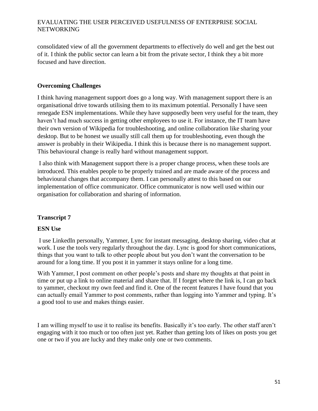consolidated view of all the government departments to effectively do well and get the best out of it. I think the public sector can learn a bit from the private sector, I think they a bit more focused and have direction.

## **Overcoming Challenges**

I think having management support does go a long way. With management support there is an organisational drive towards utilising them to its maximum potential. Personally I have seen renegade ESN implementations. While they have supposedly been very useful for the team, they haven't had much success in getting other employees to use it. For instance, the IT team have their own version of Wikipedia for troubleshooting, and online collaboration like sharing your desktop. But to be honest we usually still call them up for troubleshooting, even though the answer is probably in their Wikipedia. I think this is because there is no management support. This behavioural change is really hard without management support.

I also think with Management support there is a proper change process, when these tools are introduced. This enables people to be properly trained and are made aware of the process and behavioural changes that accompany them. I can personally attest to this based on our implementation of office communicator. Office communicator is now well used within our organisation for collaboration and sharing of information.

## **Transcript 7**

## **ESN Use**

I use LinkedIn personally, Yammer, Lync for instant messaging, desktop sharing, video chat at work. I use the tools very regularly throughout the day. Lync is good for short communications, things that you want to talk to other people about but you don't want the conversation to be around for a long time. If you post it in yammer it stays online for a long time.

With Yammer, I post comment on other people's posts and share my thoughts at that point in time or put up a link to online material and share that. If I forget where the link is, I can go back to yammer, checkout my own feed and find it. One of the recent features I have found that you can actually email Yammer to post comments, rather than logging into Yammer and typing. It's a good tool to use and makes things easier.

I am willing myself to use it to realise its benefits. Basically it's too early. The other staff aren't engaging with it too much or too often just yet. Rather than getting lots of likes on posts you get one or two if you are lucky and they make only one or two comments.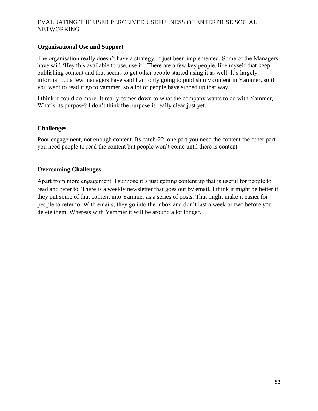## **Organisational Use and Support**

The organisation really doesn't have a strategy. It just been implemented. Some of the Managers have said 'Hey this available to use, use it'. There are a few key people, like myself that keep publishing content and that seems to get other people started using it as well. It's largely informal but a few managers have said I am only going to publish my content in Yammer, so if you want to read it go to yammer, so a lot of people have signed up that way.

I think it could do more. It really comes down to what the company wants to do with Yammer, What's its purpose? I don't think the purpose is really clear just yet.

## **Challenges**

Poor engagement, not enough content. Its catch-22, one part you need the content the other part you need people to read the content but people won't come until there is content.

#### **Overcoming Challenges**

Apart from more engagement, I suppose it's just getting content up that is useful for people to read and refer to. There is a weekly newsletter that goes out by email, I think it might be better if they put some of that content into Yammer as a series of posts. That might make it easier for people to refer to. With emails, they go into the inbox and don't last a week or two before you delete them. Whereas with Yammer it will be around a lot longer.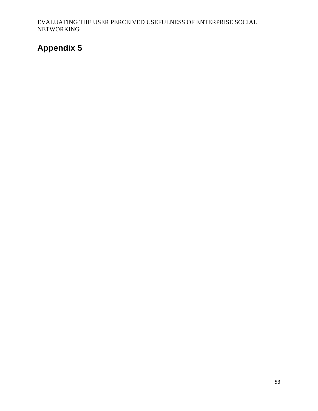# <span id="page-53-0"></span>**Appendix 5**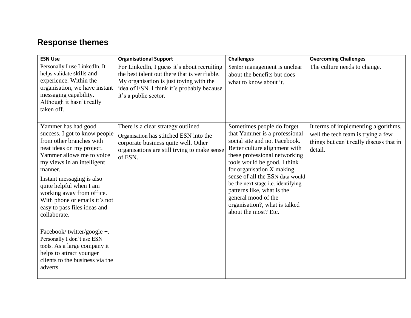# **Response themes**

| <b>ESN Use</b>                                                                                                                                                                                                                                                                                                                                            | <b>Organisational Support</b>                                                                                                                                                                                  | <b>Challenges</b>                                                                                                                                                                                                                                                                                                                                                                                                  | <b>Overcoming Challenges</b>                                                                                                     |
|-----------------------------------------------------------------------------------------------------------------------------------------------------------------------------------------------------------------------------------------------------------------------------------------------------------------------------------------------------------|----------------------------------------------------------------------------------------------------------------------------------------------------------------------------------------------------------------|--------------------------------------------------------------------------------------------------------------------------------------------------------------------------------------------------------------------------------------------------------------------------------------------------------------------------------------------------------------------------------------------------------------------|----------------------------------------------------------------------------------------------------------------------------------|
| Personally I use LinkedIn. It<br>helps validate skills and<br>experience. Within the<br>organisation, we have instant<br>messaging capability.<br>Although it hasn't really<br>taken off.                                                                                                                                                                 | For LinkedIn, I guess it's about recruiting<br>the best talent out there that is verifiable.<br>My organisation is just toying with the<br>idea of ESN. I think it's probably because<br>it's a public sector. | Senior management is unclear<br>about the benefits but does<br>what to know about it.                                                                                                                                                                                                                                                                                                                              | The culture needs to change.                                                                                                     |
| Yammer has had good<br>success. I got to know people<br>from other branches with<br>neat ideas on my project.<br>Yammer allows me to voice<br>my views in an intelligent<br>manner.<br>Instant messaging is also<br>quite helpful when I am<br>working away from office.<br>With phone or emails it's not<br>easy to pass files ideas and<br>collaborate. | There is a clear strategy outlined<br>Organisation has stitched ESN into the<br>corporate business quite well. Other<br>organisations are still trying to make sense<br>of ESN.                                | Sometimes people do forget<br>that Yammer is a professional<br>social site and not Facebook.<br>Better culture alignment with<br>these professional networking<br>tools would be good. I think<br>for organisation X making<br>sense of all the ESN data would<br>be the next stage i.e. identifying<br>patterns like, what is the<br>general mood of the<br>organisation?, what is talked<br>about the most? Etc. | It terms of implementing algorithms,<br>well the tech team is trying a few<br>things but can't really discuss that in<br>detail. |
| Facebook/twitter/google +.<br>Personally I don't use ESN<br>tools. As a large company it<br>helps to attract younger<br>clients to the business via the<br>adverts.                                                                                                                                                                                       |                                                                                                                                                                                                                |                                                                                                                                                                                                                                                                                                                                                                                                                    |                                                                                                                                  |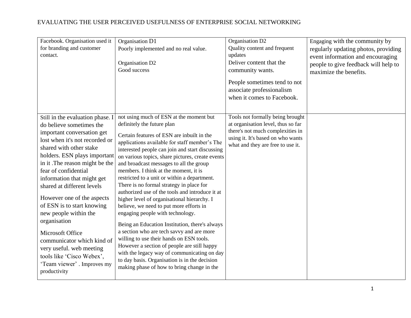| Facebook. Organisation used it<br>for branding and customer<br>contact.                                                                                                                                                                                                                                                                                                                                                                                                                                                                                                      | Organisation D1<br>Poorly implemented and no real value.<br>Organisation D2<br>Good success                                                                                                                                                                                                                                                                                                                                                                                                                                                                                                                                                                                                                                                                                                                                                                                                                                                                                          | Organisation D2<br>Quality content and frequent<br>updates<br>Deliver content that the<br>community wants.<br>People sometimes tend to not<br>associate professionalism<br>when it comes to Facebook. | Engaging with the community by<br>regularly updating photos, providing<br>event information and encouraging<br>people to give feedback will help to<br>maximize the benefits. |
|------------------------------------------------------------------------------------------------------------------------------------------------------------------------------------------------------------------------------------------------------------------------------------------------------------------------------------------------------------------------------------------------------------------------------------------------------------------------------------------------------------------------------------------------------------------------------|--------------------------------------------------------------------------------------------------------------------------------------------------------------------------------------------------------------------------------------------------------------------------------------------------------------------------------------------------------------------------------------------------------------------------------------------------------------------------------------------------------------------------------------------------------------------------------------------------------------------------------------------------------------------------------------------------------------------------------------------------------------------------------------------------------------------------------------------------------------------------------------------------------------------------------------------------------------------------------------|-------------------------------------------------------------------------------------------------------------------------------------------------------------------------------------------------------|-------------------------------------------------------------------------------------------------------------------------------------------------------------------------------|
| Still in the evaluation phase. I<br>do believe sometimes the<br>important conversation get<br>lost when it's not recorded or<br>shared with other stake<br>holders. ESN plays important<br>in it. The reason might be the<br>fear of confidential<br>information that might get<br>shared at different levels<br>However one of the aspects<br>of ESN is to start knowing<br>new people within the<br>organisation<br>Microsoft Office<br>communicator which kind of<br>very useful. web meeting<br>tools like 'Cisco Webex',<br>'Team viewer' . Improves my<br>productivity | not using much of ESN at the moment but<br>definitely the future plan<br>Certain features of ESN are inbuilt in the<br>applications available for staff member's The<br>interested people can join and start discussing<br>on various topics, share pictures, create events<br>and broadcast messages to all the group<br>members. I think at the moment, it is<br>restricted to a unit or within a department.<br>There is no formal strategy in place for<br>authorized use of the tools and introduce it at<br>higher level of organisational hierarchy. I<br>believe, we need to put more efforts in<br>engaging people with technology.<br>Being an Education Institution, there's always<br>a section who are tech savvy and are more<br>willing to use their hands on ESN tools.<br>However a section of people are still happy<br>with the legacy way of communicating on day<br>to day basis. Organisation is in the decision<br>making phase of how to bring change in the | Tools not formally being brought<br>at organisation level, thus so far<br>there's not much complexities in<br>using it. It's based on who wants<br>what and they are free to use it.                  |                                                                                                                                                                               |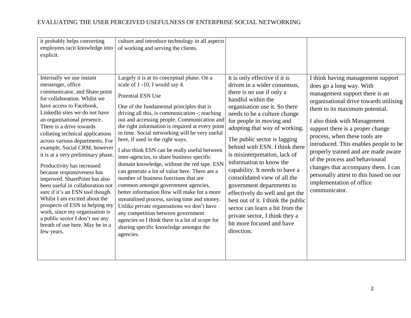| it probably helps converting<br>employees tacit knowledge into<br>explicit.                                                                                                                                                                                                                                                                                                                                                                                                                                                                                                                                                                                                                                                                        | culture and introduce technology in all aspects<br>of working and serving the clients.                                                                                                                                                                                                                                                                                                                                                                                                                                                                                                                                                                                                                                                                                                                                                                                                                                                                                        |                                                                                                                                                                                                                                                                                                                                                                                                                                                                                                                                                                                                                                                                      |                                                                                                                                                                                                                                                                                                                                                                                                                                                                                                                                 |
|----------------------------------------------------------------------------------------------------------------------------------------------------------------------------------------------------------------------------------------------------------------------------------------------------------------------------------------------------------------------------------------------------------------------------------------------------------------------------------------------------------------------------------------------------------------------------------------------------------------------------------------------------------------------------------------------------------------------------------------------------|-------------------------------------------------------------------------------------------------------------------------------------------------------------------------------------------------------------------------------------------------------------------------------------------------------------------------------------------------------------------------------------------------------------------------------------------------------------------------------------------------------------------------------------------------------------------------------------------------------------------------------------------------------------------------------------------------------------------------------------------------------------------------------------------------------------------------------------------------------------------------------------------------------------------------------------------------------------------------------|----------------------------------------------------------------------------------------------------------------------------------------------------------------------------------------------------------------------------------------------------------------------------------------------------------------------------------------------------------------------------------------------------------------------------------------------------------------------------------------------------------------------------------------------------------------------------------------------------------------------------------------------------------------------|---------------------------------------------------------------------------------------------------------------------------------------------------------------------------------------------------------------------------------------------------------------------------------------------------------------------------------------------------------------------------------------------------------------------------------------------------------------------------------------------------------------------------------|
| Internally we use instant<br>messenger, office<br>communicator, and Share point<br>for collaboration. Whilst we<br>have access to Facebook,<br>LinkedIn sites we do not have<br>an organisational presence.<br>There is a drive towards<br>collating technical applications<br>across various departments. For<br>example, Social CRM, however<br>it is at a very preliminary phase.<br>Productivity has increased<br>because responsiveness has<br>improved. SharePoint has also<br>been useful in collaboration not<br>sure if it's an ESN tool though.<br>Whilst I am excited about the<br>prospects of ESN in helping my<br>work, since my organisation is<br>a public sector I don't see any<br>breath of use here. May be in a<br>few years. | Largely it is at its conceptual phase. On a<br>scale of 1 -10, I would say 4.<br><b>Potential ESN Use</b><br>One of the fundamental principles that is<br>driving all this, is communication -; reaching<br>out and accessing people. Communication and<br>the right information is required at every point<br>in time. Social networking will be very useful<br>here, if used in the right ways.<br>I also think ESN can be really useful between<br>inter-agencies, to share business specific<br>domain knowledge, without the red tape. ESN<br>can generate a lot of value here. There are a<br>number of business functions that are<br>common amongst government agencies,<br>better information flow will make for a more<br>streamlined process, saving time and money.<br>Unlike private organisations we don't have<br>any competition between government<br>agencies so I think there is a lot of scope for<br>sharing specific knowledge amongst the<br>agencies. | It is only effective if it is<br>driven in a wider consensus,<br>there is no use if only a<br>handful within the<br>organisation use it. So there<br>needs to be a culture change<br>for people in moving and<br>adopting that way of working.<br>The public sector is lagging<br>behind with ESN. I think there<br>is misinterpretation, lack of<br>information to know the<br>capability. It needs to have a<br>consolidated view of all the<br>government departments to<br>effectively do well and get the<br>best out of it. I think the public<br>sector can learn a bit from the<br>private sector, I think they a<br>bit more focused and have<br>direction. | I think having management support<br>does go a long way. With<br>management support there is an<br>organisational drive towards utilising<br>them to its maximum potential.<br>I also think with Management<br>support there is a proper change<br>process, when these tools are<br>introduced. This enables people to be<br>properly trained and are made aware<br>of the process and behavioural<br>changes that accompany them. I can<br>personally attest to this based on our<br>implementation of office<br>communicator. |